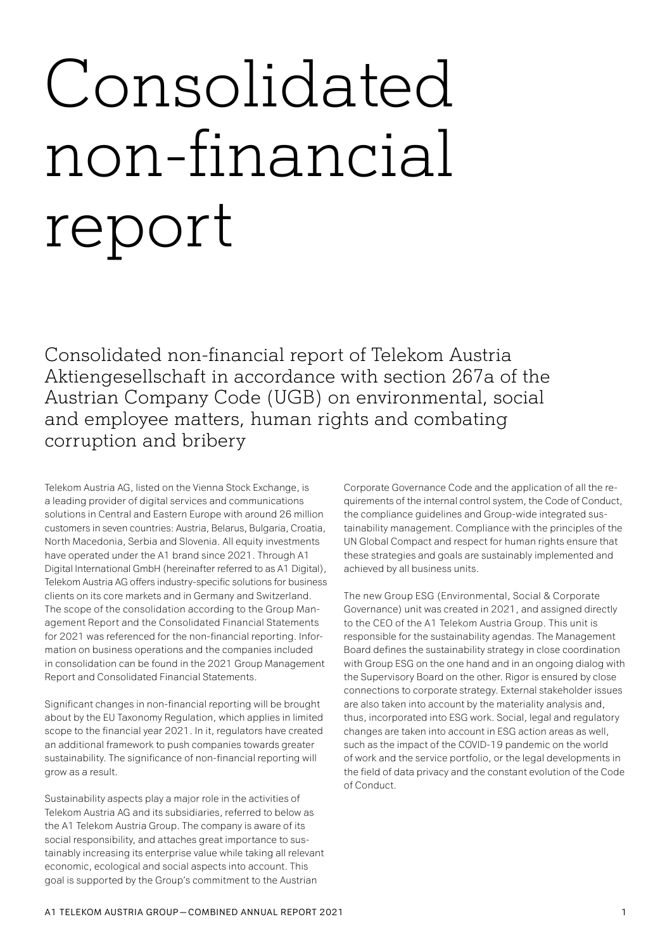# Consolidated non-financial report

Consolidated non-financial report of Telekom Austria Aktiengesellschaft in accordance with section 267a of the Austrian Company Code (UGB) on environmental, social and employee matters, human rights and combating corruption and bribery

Telekom Austria AG, listed on the Vienna Stock Exchange, is a leading provider of digital services and communications solutions in Central and Eastern Europe with around 26 million customers in seven countries: Austria, Belarus, Bulgaria, Croatia, North Macedonia, Serbia and Slovenia. All equity investments have operated under the A1 brand since 2021. Through A1 Digital International GmbH (hereinafter referred to as A1 Digital), Telekom Austria AG offers industry-specific solutions for business clients on its core markets and in Germany and Switzerland. The scope of the consolidation according to the Group Management Report and the Consolidated Financial Statements for 2021 was referenced for the non-financial reporting. Information on business operations and the companies included in consolidation can be found in the 2021 Group Management Report and Consolidated Financial Statements.

Significant changes in non-financial reporting will be brought about by the EU Taxonomy Regulation, which applies in limited scope to the financial year 2021. In it, regulators have created an additional framework to push companies towards greater sustainability. The significance of non-financial reporting will grow as a result.

Sustainability aspects play a major role in the activities of Telekom Austria AG and its subsidiaries, referred to below as the A1 Telekom Austria Group. The company is aware of its social responsibility, and attaches great importance to sustainably increasing its enterprise value while taking all relevant economic, ecological and social aspects into account. This goal is supported by the Group's commitment to the Austrian

Corporate Governance Code and the application of all the requirements of the internal control system, the Code of Conduct, the compliance guidelines and Group-wide integrated sustainability management. Compliance with the principles of the UN Global Compact and respect for human rights ensure that these strategies and goals are sustainably implemented and achieved by all business units.

The new Group ESG (Environmental, Social & Corporate Governance) unit was created in 2021, and assigned directly to the CEO of the A1 Telekom Austria Group. This unit is responsible for the sustainability agendas. The Management Board defines the sustainability strategy in close coordination with Group ESG on the one hand and in an ongoing dialog with the Supervisory Board on the other. Rigor is ensured by close connections to corporate strategy. External stakeholder issues are also taken into account by the materiality analysis and, thus, incorporated into ESG work. Social, legal and regulatory changes are taken into account in ESG action areas as well, such as the impact of the COVID-19 pandemic on the world of work and the service portfolio, or the legal developments in the field of data privacy and the constant evolution of the Code of Conduct.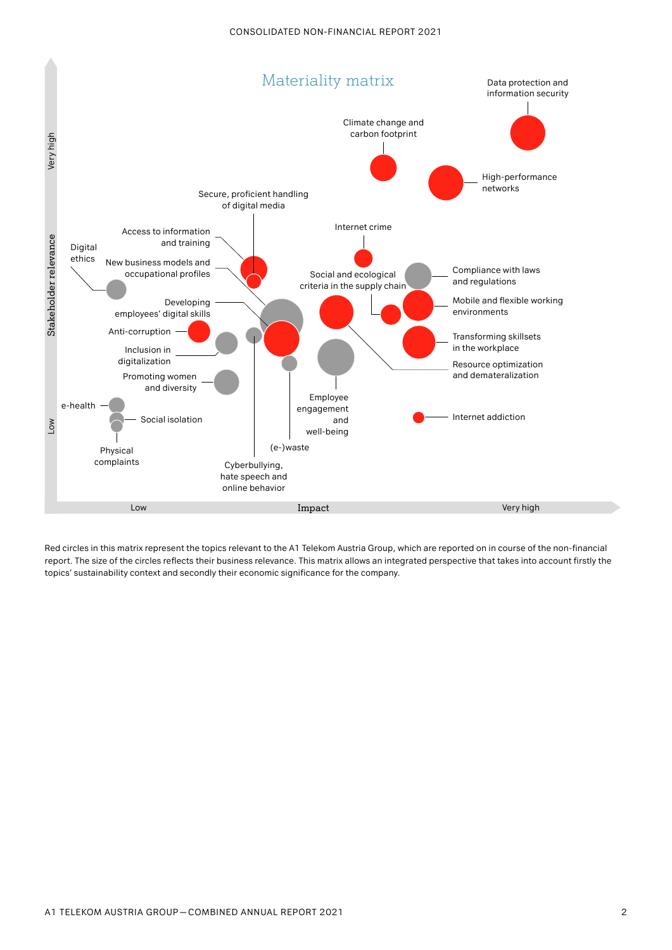

Red circles in this matrix represent the topics relevant to the A1 Telekom Austria Group, which are reported on in course of the non-financial report. The size of the circles reflects their business relevance. This matrix allows an integrated perspective that takes into account firstly the topics' sustainability context and secondly their economic significance for the company.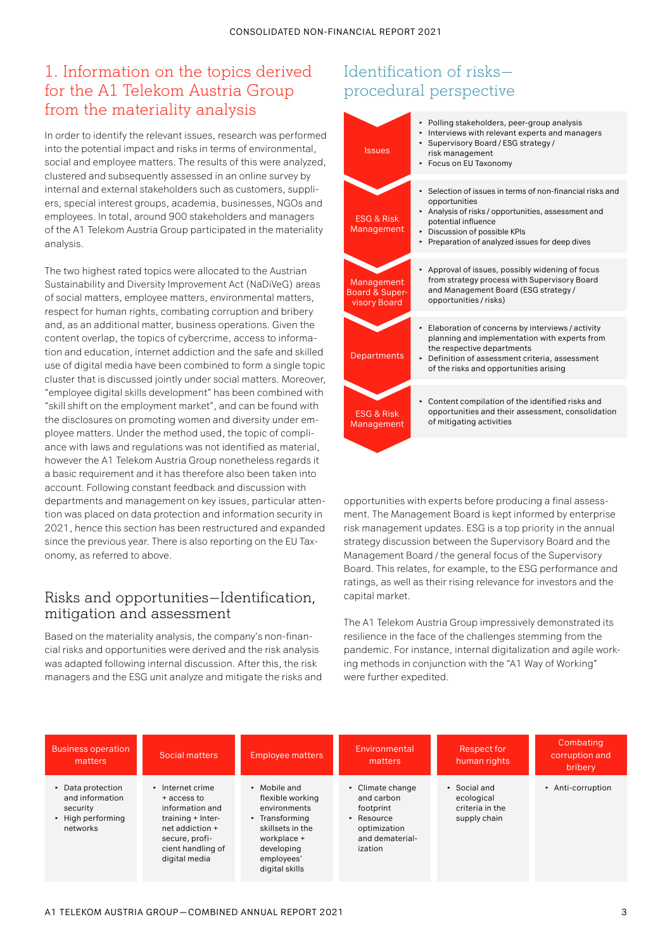# 1. Information on the topics derived for the A1 Telekom Austria Group from the materiality analysis

In order to identify the relevant issues, research was performed into the potential impact and risks in terms of environmental, social and employee matters. The results of this were analyzed, clustered and subsequently assessed in an online survey by internal and external stakeholders such as customers, suppliers, special interest groups, academia, businesses, NGOs and employees. In total, around 900 stakeholders and managers of the A1 Telekom Austria Group participated in the materiality analysis.

The two highest rated topics were allocated to the Austrian Sustainability and Diversity Improvement Act (NaDiVeG) areas of social matters, employee matters, environmental matters, respect for human rights, combating corruption and bribery and, as an additional matter, business operations. Given the content overlap, the topics of cybercrime, access to information and education, internet addiction and the safe and skilled use of digital media have been combined to form a single topic cluster that is discussed jointly under social matters. Moreover, "employee digital skills development" has been combined with "skill shift on the employment market", and can be found with the disclosures on promoting women and diversity under employee matters. Under the method used, the topic of compliance with laws and regulations was not identified as material, however the A1 Telekom Austria Group nonetheless regards it a basic requirement and it has therefore also been taken into account. Following constant feedback and discussion with departments and management on key issues, particular attention was placed on data protection and information security in 2021, hence this section has been restructured and expanded since the previous year. There is also reporting on the EU Taxonomy, as referred to above.

## Risks and opportunities — Identification, mitigation and assessment

Based on the materiality analysis, the company's non-financial risks and opportunities were derived and the risk analysis was adapted following internal discussion. After this, the risk managers and the ESG unit analyze and mitigate the risks and

# Identification of risks procedural perspective

| <b>Issues</b>                                           | ► Polling stakeholders, peer-group analysis<br>Interviews with relevant experts and managers<br>► Supervisory Board / ESG strategy /<br>risk management<br>Focus on EU Taxonomy                                                                  |
|---------------------------------------------------------|--------------------------------------------------------------------------------------------------------------------------------------------------------------------------------------------------------------------------------------------------|
| <b>ESG &amp; Risk</b><br>Management                     | Selection of issues in terms of non-financial risks and<br>٠<br>opportunities<br>Analysis of risks / opportunities, assessment and<br>potential influence<br>Discussion of possible KPIs<br>٠<br>► Preparation of analyzed issues for deep dives |
| Management<br><b>Board &amp; Super-</b><br>visory Board | Approval of issues, possibly widening of focus<br>from strategy process with Supervisory Board<br>and Management Board (ESG strategy/<br>opportunities / risks)                                                                                  |
| Departments                                             | Elaboration of concerns by interviews / activity<br>planning and implementation with experts from<br>the respective departments<br>▶ Definition of assessment criteria, assessment<br>of the risks and opportunities arising                     |
| <b>ESG &amp; Risk</b><br>Management                     | Content compilation of the identified risks and<br>opportunities and their assessment, consolidation<br>of mitigating activities                                                                                                                 |
|                                                         |                                                                                                                                                                                                                                                  |

opportunities with experts before producing a final assessment. The Management Board is kept informed by enterprise risk management updates. ESG is a top priority in the annual strategy discussion between the Supervisory Board and the Management Board/ the general focus of the Supervisory Board. This relates, for example, to the ESG performance and ratings, as well as their rising relevance for investors and the capital market.

The A1 Telekom Austria Group impressively demonstrated its resilience in the face of the challenges stemming from the pandemic. For instance, internal digitalization and agile working methods in conjunction with the "A1 Way of Working" were further expedited.

| <b>Business operation</b><br>matters                                                                   | Social matters                                                                                                                                           | <b>Employee matters</b>                                                                                                                                                           | Environmental<br>matters                                                                                                              | Respect for<br>human rights                                                  | Combating<br>corruption and<br>bribery. |
|--------------------------------------------------------------------------------------------------------|----------------------------------------------------------------------------------------------------------------------------------------------------------|-----------------------------------------------------------------------------------------------------------------------------------------------------------------------------------|---------------------------------------------------------------------------------------------------------------------------------------|------------------------------------------------------------------------------|-----------------------------------------|
| $\triangleright$ Data protection<br>and information<br>security<br>$\cdot$ High performing<br>networks | $\cdot$ Internet crime<br>+ access to<br>information and<br>training + Inter-<br>net addiction +<br>secure, profi-<br>cient handling of<br>digital media | $\triangleright$ Mobile and<br>flexible working<br>environments<br>$\triangleright$ Transforming<br>skillsets in the<br>workplace +<br>developing<br>employees'<br>digital skills | $\triangleright$ Climate change<br>and carbon<br>footprint<br>$\triangleright$ Resource<br>optimization<br>and dematerial-<br>ization | $\triangleright$ Social and<br>ecological<br>criteria in the<br>supply chain | $\triangleright$ Anti-corruption        |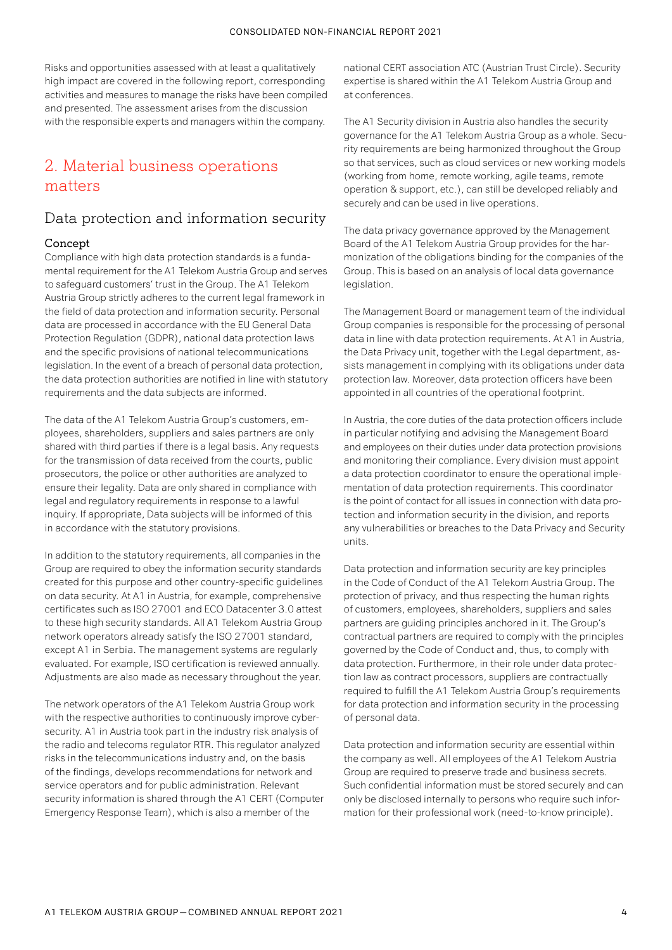Risks and opportunities assessed with at least a qualitatively high impact are covered in the following report, corresponding activities and measures to manage the risks have been compiled and presented. The assessment arises from the discussion with the responsible experts and managers within the company.

# 2. Material business operations matters

## Data protection and information security

## Concept

Compliance with high data protection standards is a fundamental requirement for the A1 Telekom Austria Group and serves to safeguard customers' trust in the Group. The A1 Telekom Austria Group strictly adheres to the current legal framework in the field of data protection and information security. Personal data are processed in accordance with the EU General Data Protection Regulation (GDPR), national data protection laws and the specific provisions of national telecommunications legislation. In the event of a breach of personal data protection, the data protection authorities are notified in line with statutory requirements and the data subjects are informed.

The data of the A1 Telekom Austria Group's customers, employees, shareholders, suppliers and sales partners are only shared with third parties if there is a legal basis. Any requests for the transmission of data received from the courts, public prosecutors, the police or other authorities are analyzed to ensure their legality. Data are only shared in compliance with legal and regulatory requirements in response to a lawful inquiry. If appropriate, Data subjects will be informed of this in accordance with the statutory provisions.

In addition to the statutory requirements, all companies in the Group are required to obey the information security standards created for this purpose and other country-specific guidelines on data security. At A1 in Austria, for example, comprehensive certificates such as ISO 27001 and ECO Datacenter 3.0 attest to these high security standards. All A1 Telekom Austria Group network operators already satisfy the ISO 27001 standard, except A1 in Serbia. The management systems are regularly evaluated. For example, ISO certification is reviewed annually. Adjustments are also made as necessary throughout the year.

The network operators of the A1 Telekom Austria Group work with the respective authorities to continuously improve cybersecurity. A1 in Austria took part in the industry risk analysis of the radio and telecoms regulator RTR. This regulator analyzed risks in the telecommunications industry and, on the basis of the findings, develops recommendations for network and service operators and for public administration. Relevant security information is shared through the A1 CERT (Computer Emergency Response Team), which is also a member of the

national CERT association ATC (Austrian Trust Circle). Security expertise is shared within the A1 Telekom Austria Group and at conferences.

The A1 Security division in Austria also handles the security governance for the A1 Telekom Austria Group as a whole. Security requirements are being harmonized throughout the Group so that services, such as cloud services or new working models (working from home, remote working, agile teams, remote operation & support, etc.), can still be developed reliably and securely and can be used in live operations.

The data privacy governance approved by the Management Board of the A1 Telekom Austria Group provides for the harmonization of the obligations binding for the companies of the Group. This is based on an analysis of local data governance legislation.

The Management Board or management team of the individual Group companies is responsible for the processing of personal data in line with data protection requirements. At A1 in Austria, the Data Privacy unit, together with the Legal department, assists management in complying with its obligations under data protection law. Moreover, data protection officers have been appointed in all countries of the operational footprint.

In Austria, the core duties of the data protection officers include in particular notifying and advising the Management Board and employees on their duties under data protection provisions and monitoring their compliance. Every division must appoint a data protection coordinator to ensure the operational implementation of data protection requirements. This coordinator is the point of contact for all issues in connection with data protection and information security in the division, and reports any vulnerabilities or breaches to the Data Privacy and Security units.

Data protection and information security are key principles in the Code of Conduct of the A1 Telekom Austria Group. The protection of privacy, and thus respecting the human rights of customers, employees, shareholders, suppliers and sales partners are guiding principles anchored in it. The Group's contractual partners are required to comply with the principles governed by the Code of Conduct and, thus, to comply with data protection. Furthermore, in their role under data protection law as contract processors, suppliers are contractually required to fulfill the A1 Telekom Austria Group's requirements for data protection and information security in the processing of personal data.

Data protection and information security are essential within the company as well. All employees of the A1 Telekom Austria Group are required to preserve trade and business secrets. Such confidential information must be stored securely and can only be disclosed internally to persons who require such information for their professional work (need-to-know principle).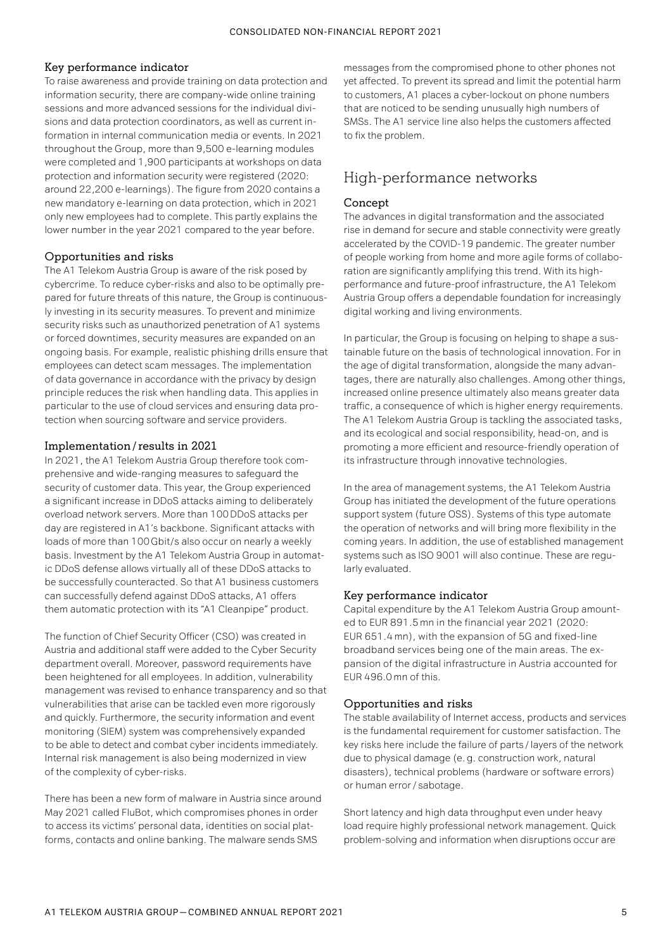## Key performance indicator

To raise awareness and provide training on data protection and information security, there are company-wide online training sessions and more advanced sessions for the individual divisions and data protection coordinators, as well as current information in internal communication media or events. In 2021 throughout the Group, more than 9,500 e-learning modules were completed and 1,900 participants at workshops on data protection and information security were registered (2020: around 22,200 e-learnings). The figure from 2020 contains a new mandatory e-learning on data protection, which in 2021 only new employees had to complete. This partly explains the lower number in the year 2021 compared to the year before.

## Opportunities and risks

The A1 Telekom Austria Group is aware of the risk posed by cybercrime. To reduce cyber-risks and also to be optimally prepared for future threats of this nature, the Group is continuously investing in its security measures. To prevent and minimize security risks such as unauthorized penetration of A1 systems or forced downtimes, security measures are expanded on an ongoing basis. For example, realistic phishing drills ensure that employees can detect scam messages. The implementation of data governance in accordance with the privacy by design principle reduces the risk when handling data. This applies in particular to the use of cloud services and ensuring data protection when sourcing software and service providers.

## Implementation/results in 2021

In 2021, the A1 Telekom Austria Group therefore took comprehensive and wide-ranging measures to safeguard the security of customer data. This year, the Group experienced a significant increase in DDoS attacks aiming to deliberately overload network servers. More than 100 DDoS attacks per day are registered in A1's backbone. Significant attacks with loads of more than 100Gbit/s also occur on nearly a weekly basis. Investment by the A1 Telekom Austria Group in automatic DDoS defense allows virtually all of these DDoS attacks to be successfully counteracted. So that A1 business customers can successfully defend against DDoS attacks, A1 offers them automatic protection with its "A1 Cleanpipe" product.

The function of Chief Security Officer (CSO) was created in Austria and additional staff were added to the Cyber Security department overall. Moreover, password requirements have been heightened for all employees. In addition, vulnerability management was revised to enhance transparency and so that vulnerabilities that arise can be tackled even more rigorously and quickly. Furthermore, the security information and event monitoring (SIEM) system was comprehensively expanded to be able to detect and combat cyber incidents immediately. Internal risk management is also being modernized in view of the complexity of cyber-risks.

There has been a new form of malware in Austria since around May 2021 called FluBot, which compromises phones in order to access its victims' personal data, identities on social platforms, contacts and online banking. The malware sends SMS

messages from the compromised phone to other phones not yet affected. To prevent its spread and limit the potential harm to customers, A1 places a cyber-lockout on phone numbers that are noticed to be sending unusually high numbers of SMSs. The A1 service line also helps the customers affected to fix the problem.

# High-performance networks

## Concept

The advances in digital transformation and the associated rise in demand for secure and stable connectivity were greatly accelerated by the COVID-19 pandemic. The greater number of people working from home and more agile forms of collaboration are significantly amplifying this trend. With its highperformance and future-proof infrastructure, the A1 Telekom Austria Group offers a dependable foundation for increasingly digital working and living environments.

In particular, the Group is focusing on helping to shape a sustainable future on the basis of technological innovation. For in the age of digital transformation, alongside the many advantages, there are naturally also challenges. Among other things, increased online presence ultimately also means greater data traffic, a consequence of which is higher energy requirements. The A1 Telekom Austria Group is tackling the associated tasks, and its ecological and social responsibility, head-on, and is promoting a more efficient and resource-friendly operation of its infrastructure through innovative technologies.

In the area of management systems, the A1 Telekom Austria Group has initiated the development of the future operations support system (future OSS). Systems of this type automate the operation of networks and will bring more flexibility in the coming years. In addition, the use of established management systems such as ISO 9001 will also continue. These are regularly evaluated.

## Key performance indicator

Capital expenditure by the A1 Telekom Austria Group amounted to EUR 891.5 mn in the financial year 2021 (2020: EUR 651.4 mn), with the expansion of 5G and fixed-line broadband services being one of the main areas. The expansion of the digital infrastructure in Austria accounted for EUR 496.0 mn of this.

## Opportunities and risks

The stable availability of Internet access, products and services is the fundamental requirement for customer satisfaction. The key risks here include the failure of parts / layers of the network due to physical damage (e.g. construction work, natural disasters), technical problems (hardware or software errors) or human error / sabotage.

Short latency and high data throughput even under heavy load require highly professional network management. Quick problem-solving and information when disruptions occur are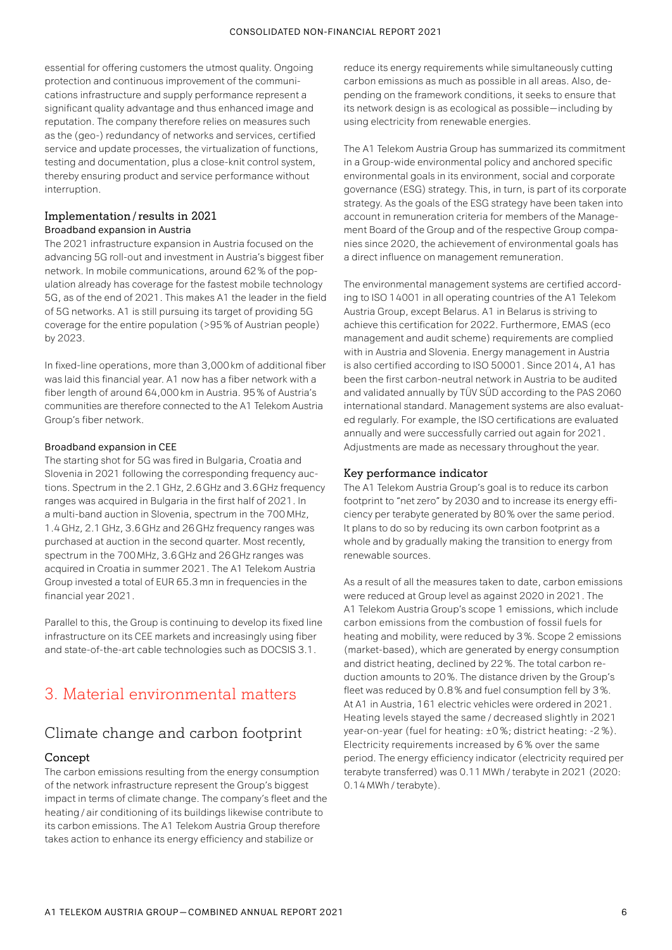essential for offering customers the utmost quality. Ongoing protection and continuous improvement of the communications infrastructure and supply performance represent a significant quality advantage and thus enhanced image and reputation. The company therefore relies on measures such as the (geo-) redundancy of networks and services, certified service and update processes, the virtualization of functions, testing and documentation, plus a close-knit control system, thereby ensuring product and service performance without interruption.

## Implementation/results in 2021 Broadband expansion in Austria

The 2021 infrastructure expansion in Austria focused on the advancing 5G roll-out and investment in Austria's biggest fiber network. In mobile communications, around 62 % of the population already has coverage for the fastest mobile technology 5G, as of the end of 2021. This makes A1 the leader in the field of 5G networks. A1 is still pursuing its target of providing 5G coverage for the entire population (>95 % of Austrian people) by 2023.

In fixed-line operations, more than 3,000km of additional fiber was laid this financial year. A1 now has a fiber network with a fiber length of around 64,000km in Austria. 95 % of Austria's communities are therefore connected to the A1 Telekom Austria Group's fiber network.

## Broadband expansion in CEE

The starting shot for 5G was fired in Bulgaria, Croatia and Slovenia in 2021 following the corresponding frequency auctions. Spectrum in the 2.1GHz, 2.6GHz and 3.6GHz frequency ranges was acquired in Bulgaria in the first half of 2021. In a multi-band auction in Slovenia, spectrum in the 700 MHz, 1.4GHz, 2.1GHz, 3.6GHz and 26GHz frequency ranges was purchased at auction in the second quarter. Most recently, spectrum in the 700 MHz, 3.6GHz and 26GHz ranges was acquired in Croatia in summer 2021. The A1 Telekom Austria Group invested a total of EUR 65.3 mn in frequencies in the financial year 2021.

Parallel to this, the Group is continuing to develop its fixed line infrastructure on its CEE markets and increasingly using fiber and state-of-the-art cable technologies such as DOCSIS 3.1.

# 3. Material environmental matters

# Climate change and carbon footprint

## Concept

The carbon emissions resulting from the energy consumption of the network infrastructure represent the Group's biggest impact in terms of climate change. The company's fleet and the heating/ air conditioning of its buildings likewise contribute to its carbon emissions. The A1 Telekom Austria Group therefore takes action to enhance its energy efficiency and stabilize or

reduce its energy requirements while simultaneously cutting carbon emissions as much as possible in all areas. Also, depending on the framework conditions, it seeks to ensure that its network design is as ecological as possible—including by using electricity from renewable energies.

The A1 Telekom Austria Group has summarized its commitment in a Group-wide environmental policy and anchored specific environmental goals in its environment, social and corporate governance (ESG) strategy. This, in turn, is part of its corporate strategy. As the goals of the ESG strategy have been taken into account in remuneration criteria for members of the Management Board of the Group and of the respective Group companies since 2020, the achievement of environmental goals has a direct influence on management remuneration.

The environmental management systems are certified according to ISO 14001 in all operating countries of the A1 Telekom Austria Group, except Belarus. A1 in Belarus is striving to achieve this certification for 2022. Furthermore, EMAS (eco management and audit scheme) requirements are complied with in Austria and Slovenia. Energy management in Austria is also certified according to ISO 50001. Since 2014, A1 has been the first carbon-neutral network in Austria to be audited and validated annually by TÜV SÜD according to the PAS 2060 international standard. Management systems are also evaluated regularly. For example, the ISO certifications are evaluated annually and were successfully carried out again for 2021. Adjustments are made as necessary throughout the year.

## Key performance indicator

The A1 Telekom Austria Group's goal is to reduce its carbon footprint to "net zero" by 2030 and to increase its energy efficiency per terabyte generated by 80 % over the same period. It plans to do so by reducing its own carbon footprint as a whole and by gradually making the transition to energy from renewable sources.

As a result of all the measures taken to date, carbon emissions were reduced at Group level as against 2020 in 2021. The A1 Telekom Austria Group's scope 1 emissions, which include carbon emissions from the combustion of fossil fuels for heating and mobility, were reduced by 3 %. Scope 2 emissions (market-based), which are generated by energy consumption and district heating, declined by 22 %. The total carbon reduction amounts to 20 %. The distance driven by the Group's fleet was reduced by 0.8 % and fuel consumption fell by 3 %. At A1 in Austria, 161 electric vehicles were ordered in 2021. Heating levels stayed the same / decreased slightly in 2021 year-on-year (fuel for heating: ±0 %; district heating: -2 %). Electricity requirements increased by 6 % over the same period. The energy efficiency indicator (electricity required per terabyte transferred) was 0.11 MWh/ terabyte in 2021 (2020: 0.14 MWh/ terabyte).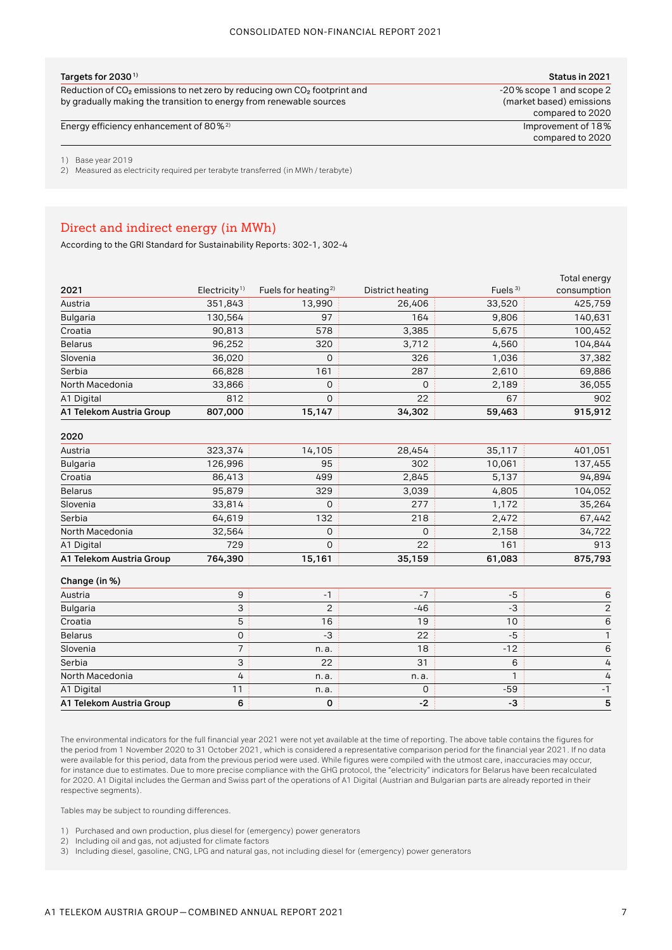| Targets for 2030 $^{\rm 1)}$                                                 | Status in 2021           |
|------------------------------------------------------------------------------|--------------------------|
| Reduction of $CO2$ emissions to net zero by reducing own $CO2$ footprint and | -20% scope 1 and scope 2 |
| by gradually making the transition to energy from renewable sources          | (market based) emissions |

Energy efficiency enhancement of 80%<sup>2)</sup> Improvement of 18%

compared to 2020 compared to 2020

1) Base year 2019

2) Measured as electricity required per terabyte transferred (in MWh / terabyte)

## Direct and indirect energy (in MWh)

According to the GRI Standard for Sustainability Reports: 302-1, 302-4

|                          |                           |                                 |                  |            | Total energy |
|--------------------------|---------------------------|---------------------------------|------------------|------------|--------------|
| 2021                     | Electricity <sup>1)</sup> | Fuels for heating <sup>2)</sup> | District heating | Fuels $3)$ | consumption  |
| Austria                  | 351,843                   | 13,990                          | 26,406           | 33,520     | 425,759      |
| <b>Bulgaria</b>          | 130,564                   | 97                              | 164              | 9,806      | 140,631      |
| Croatia                  | 90,813                    | 578                             | 3,385            | 5,675      | 100,452      |
| <b>Belarus</b>           | 96,252                    | 320                             | 3,712            | 4,560      | 104,844      |
| Slovenia                 | 36,020                    | 0                               | 326              | 1,036      | 37,382       |
| Serbia                   | 66,828                    | 161                             | 287              | 2,610      | 69,886       |
| North Macedonia          | 33,866                    | 0                               | 0                | 2,189      | 36,055       |
| A1 Digital               | 812                       | $\mathbf 0$                     | 22               | 67         | 902          |
| A1 Telekom Austria Group | 807,000                   | 15,147                          | 34,302           | 59,463     | 915,912      |

**2020** 

| A1 Telekom Austria Group | 764,390 | 15,161 | 35,159 | 61,083 | 875,793 |
|--------------------------|---------|--------|--------|--------|---------|
| A1 Digital               | 729     | 0      | 22     | 161    | 913     |
| North Macedonia          | 32,564  | O      | 0      | 2,158  | 34,722  |
| Serbia                   | 64,619  | 132    | 218    | 2,472  | 67,442  |
| Slovenia                 | 33,814  | 0      | 277    | 1,172  | 35,264  |
| <b>Belarus</b>           | 95,879  | 329    | 3,039  | 4,805  | 104,052 |
| Croatia                  | 86,413  | 499    | 2,845  | 5,137  | 94,894  |
| <b>Bulgaria</b>          | 126,996 | 95     | 302    | 10,061 | 137,455 |
| Austria                  | 323,374 | 14,105 | 28,454 | 35,117 | 401,051 |

#### **Change (in %)**

| Austria                  |   |      |       |       |  |
|--------------------------|---|------|-------|-------|--|
| <b>Bulgaria</b>          |   |      | $-46$ |       |  |
| Croatia                  |   | 16   | 19    | 10    |  |
| <b>Belarus</b>           |   | -3   | 22    | -5    |  |
| Slovenia                 |   | n.a. | 18    | $-12$ |  |
| Serbia                   |   | 22   | 31    | n     |  |
| North Macedonia          | 4 | n.a. | n.a.  |       |  |
| A1 Digital               |   | n.a. |       | $-59$ |  |
| A1 Telekom Austria Group |   |      |       | -3    |  |

The environmental indicators for the full financial year 2021 were not yet available at the time of reporting. The above table contains the figures for the period from 1 November 2020 to 31 October 2021, which is considered a representative comparison period for the financial year 2021. If no data were available for this period, data from the previous period were used. While figures were compiled with the utmost care, inaccuracies may occur, for instance due to estimates. Due to more precise compliance with the GHG protocol, the "electricity" indicators for Belarus have been recalculated for 2020. A1 Digital includes the German and Swiss part of the operations of A1 Digital (Austrian and Bulgarian parts are already reported in their respective segments).

Tables may be subject to rounding differences.

- 1) Purchased and own production, plus diesel for (emergency) power generators
- 2) Including oil and gas, not adjusted for climate factors

3) Including diesel, gasoline, CNG, LPG and natural gas, not including diesel for (emergency) power generators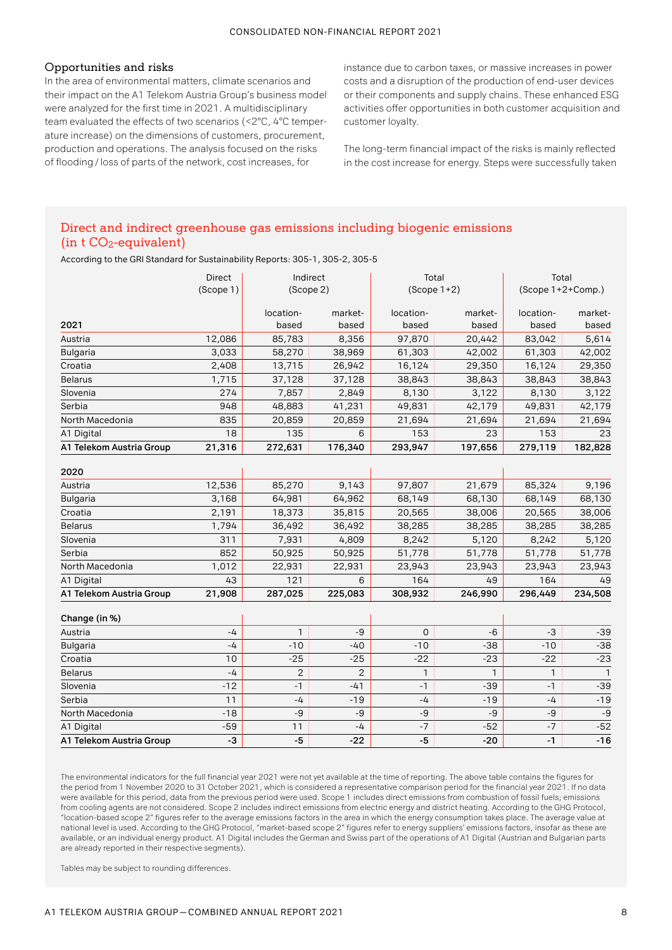## Opportunities and risks

In the area of environmental matters, climate scenarios and their impact on the A1 Telekom Austria Group's business model were analyzed for the first time in 2021. A multidisciplinary team evaluated the effects of two scenarios (<2°C, 4°C temperature increase) on the dimensions of customers, procurement, production and operations. The analysis focused on the risks of flooding/ loss of parts of the network, cost increases, for

instance due to carbon taxes, or massive increases in power costs and a disruption of the production of end-user devices or their components and supply chains. These enhanced ESG activities offer opportunities in both customer acquisition and customer loyalty.

The long-term financial impact of the risks is mainly reflected in the cost increase for energy. Steps were successfully taken

## Direct and indirect greenhouse gas emissions including biogenic emissions (in  $t$  CO<sub>2</sub>-equivalent)

According to the GRI Standard for Sustainability Reports: 305-1, 305-2, 305-5

|                          | Direct    | Indirect       |                | Total         |         | Total             |                |
|--------------------------|-----------|----------------|----------------|---------------|---------|-------------------|----------------|
|                          | (Scope 1) | (Scope 2)      |                | $(Scope 1+2)$ |         | (Scope 1+2+Comp.) |                |
|                          |           |                |                |               |         |                   |                |
|                          |           | location-      | market-        | location-     | market- | location-         | market-        |
| 2021                     |           | based          | based          | based         | based   | based             | based          |
| Austria                  | 12,086    | 85,783         | 8,356          | 97,870        | 20,442  | 83,042            | 5,614          |
| <b>Bulgaria</b>          | 3,033     | 58,270         | 38,969         | 61,303        | 42,002  | 61,303            | 42,002         |
| Croatia                  | 2,408     | 13,715         | 26,942         | 16,124        | 29,350  | 16,124            | 29,350         |
| <b>Belarus</b>           | 1,715     | 37,128         | 37,128         | 38,843        | 38,843  | 38,843            | 38,843         |
| Slovenia                 | 274       | 7,857          | 2,849          | 8,130         | 3,122   | 8,130             | 3,122          |
| Serbia                   | 948       | 48,883         | 41,231         | 49,831        | 42,179  | 49,831            | 42,179         |
| North Macedonia          | 835       | 20,859         | 20,859         | 21,694        | 21,694  | 21,694            | 21,694         |
| A1 Digital               | 18        | 135            | 6              | 153           | 23      | 153               | 23             |
| A1 Telekom Austria Group | 21,316    | 272,631        | 176,340        | 293,947       | 197,656 | 279,119           | 182,828        |
|                          |           |                |                |               |         |                   |                |
| 2020                     |           |                |                |               |         |                   |                |
| Austria                  | 12,536    | 85,270         | 9,143          | 97,807        | 21,679  | 85,324            | 9,196          |
| <b>Bulgaria</b>          | 3,168     | 64,981         | 64,962         | 68,149        | 68,130  | 68,149            | 68,130         |
| Croatia                  | 2,191     | 18,373         | 35,815         | 20,565        | 38,006  | 20,565            | 38,006         |
| <b>Belarus</b>           | 1,794     | 36,492         | 36,492         | 38,285        | 38,285  | 38,285            | 38,285         |
| Slovenia                 | 311       | 7,931          | 4,809          | 8,242         | 5,120   | 8,242             | 5,120          |
| Serbia                   | 852       | 50,925         | 50,925         | 51,778        | 51,778  | 51,778            | 51,778         |
| North Macedonia          | 1,012     | 22,931         | 22,931         | 23,943        | 23,943  | 23,943            | 23,943         |
| A1 Digital               | 43        | 121            | 6              | 164           | 49      | 164               | 49             |
| A1 Telekom Austria Group | 21,908    | 287,025        | 225,083        | 308,932       | 246,990 | 296,449           | 234,508        |
|                          |           |                |                |               |         |                   |                |
| Change (in %)            |           |                |                |               |         |                   |                |
| Austria                  | $-4$      | $\mathbf{1}$   | $-9$           | $\mathbf 0$   | $-6$    | $-3$              | $-39$          |
| <b>Bulgaria</b>          | $-4$      | $-10$          | $-40$          | $-10$         | $-38$   | $-10$             | $-38$          |
| Croatia                  | 10        | $-25$          | $-25$          | $-22$         | $-23$   | $-22$             | $-23$          |
| <b>Belarus</b>           | $-4$      | $\overline{2}$ | $\overline{2}$ | 1             | 1       | 1                 | $\overline{1}$ |
| Slovenia                 | $-12$     | $-1$           | $-41$          | $-1$          | $-39$   | $-1$              | $-39$          |
| Serbia                   | 11        | -4             | $-19$          | $-4$          | $-19$   | $-4$              | $-19$          |
| North Macedonia          | $-18$     | -9             | $-9$           | $-9$          | $-9$    | -9                | -9             |
| A1 Digital               | $-59$     | 11             | $-4$           | $-7$          | $-52$   | $-7$              | $-52$          |
| A1 Telekom Austria Group | -3        | $-5$           | $-22$          | $-5$          | $-20$   | $-1$              | $-16$          |

The environmental indicators for the full financial year 2021 were not yet available at the time of reporting. The above table contains the figures for the period from 1 November 2020 to 31 October 2021, which is considered a representative comparison period for the financial year 2021. If no data were available for this period, data from the previous period were used. Scope 1 includes direct emissions from combustion of fossil fuels; emissions from cooling agents are not considered. Scope 2 includes indirect emissions from electric energy and district heating. According to the GHG Protocol, "location-based scope 2" figures refer to the average emissions factors in the area in which the energy consumption takes place. The average value at national level is used. According to the GHG Protocol, "market-based scope 2" figures refer to energy suppliers' emissions factors, insofar as these are available, or an individual energy product. A1 Digital includes the German and Swiss part of the operations of A1 Digital (Austrian and Bulgarian parts are already reported in their respective segments).

Tables may be subject to rounding differences.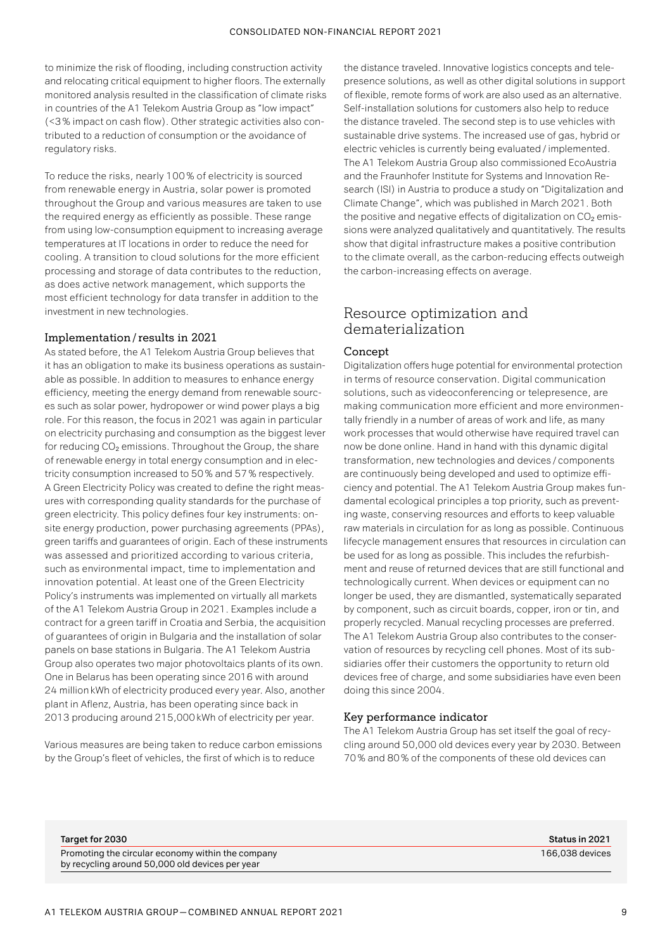to minimize the risk of flooding, including construction activity and relocating critical equipment to higher floors. The externally monitored analysis resulted in the classification of climate risks in countries of the A1 Telekom Austria Group as "low impact" (<3 % impact on cash flow). Other strategic activities also contributed to a reduction of consumption or the avoidance of regulatory risks.

To reduce the risks, nearly 100 % of electricity is sourced from renewable energy in Austria, solar power is promoted throughout the Group and various measures are taken to use the required energy as efficiently as possible. These range from using low-consumption equipment to increasing average temperatures at IT locations in order to reduce the need for cooling. A transition to cloud solutions for the more efficient processing and storage of data contributes to the reduction, as does active network management, which supports the most efficient technology for data transfer in addition to the investment in new technologies.

#### Implementation/results in 2021

As stated before, the A1 Telekom Austria Group believes that it has an obligation to make its business operations as sustainable as possible. In addition to measures to enhance energy efficiency, meeting the energy demand from renewable sources such as solar power, hydropower or wind power plays a big role. For this reason, the focus in 2021 was again in particular on electricity purchasing and consumption as the biggest lever for reducing  $CO<sub>2</sub>$  emissions. Throughout the Group, the share of renewable energy in total energy consumption and in electricity consumption increased to 50 % and 57 % respectively. A Green Electricity Policy was created to define the right measures with corresponding quality standards for the purchase of green electricity. This policy defines four key instruments: onsite energy production, power purchasing agreements (PPAs), green tariffs and guarantees of origin. Each of these instruments was assessed and prioritized according to various criteria, such as environmental impact, time to implementation and innovation potential. At least one of the Green Electricity Policy's instruments was implemented on virtually all markets of the A1 Telekom Austria Group in 2021. Examples include a contract for a green tariff in Croatia and Serbia, the acquisition of guarantees of origin in Bulgaria and the installation of solar panels on base stations in Bulgaria. The A1 Telekom Austria Group also operates two major photovoltaics plants of its own. One in Belarus has been operating since 2016 with around 24 million kWh of electricity produced every year. Also, another plant in Aflenz, Austria, has been operating since back in 2013 producing around 215,000kWh of electricity per year.

Various measures are being taken to reduce carbon emissions by the Group's fleet of vehicles, the first of which is to reduce

the distance traveled. Innovative logistics concepts and telepresence solutions, as well as other digital solutions in support of flexible, remote forms of work are also used as an alternative. Self-installation solutions for customers also help to reduce the distance traveled. The second step is to use vehicles with sustainable drive systems. The increased use of gas, hybrid or electric vehicles is currently being evaluated/ implemented. The A1 Telekom Austria Group also commissioned EcoAustria and the Fraunhofer Institute for Systems and Innovation Research (ISI) in Austria to produce a study on "Digitalization and Climate Change", which was published in March 2021. Both the positive and negative effects of digitalization on  $CO<sub>2</sub>$  emissions were analyzed qualitatively and quantitatively. The results show that digital infrastructure makes a positive contribution to the climate overall, as the carbon-reducing effects outweigh the carbon-increasing effects on average.

## Resource optimization and dematerialization

#### Concept

Digitalization offers huge potential for environmental protection in terms of resource conservation. Digital communication solutions, such as videoconferencing or telepresence, are making communication more efficient and more environmentally friendly in a number of areas of work and life, as many work processes that would otherwise have required travel can now be done online. Hand in hand with this dynamic digital transformation, new technologies and devices / components are continuously being developed and used to optimize efficiency and potential. The A1 Telekom Austria Group makes fundamental ecological principles a top priority, such as preventing waste, conserving resources and efforts to keep valuable raw materials in circulation for as long as possible. Continuous lifecycle management ensures that resources in circulation can be used for as long as possible. This includes the refurbishment and reuse of returned devices that are still functional and technologically current. When devices or equipment can no longer be used, they are dismantled, systematically separated by component, such as circuit boards, copper, iron or tin, and properly recycled. Manual recycling processes are preferred. The A1 Telekom Austria Group also contributes to the conservation of resources by recycling cell phones. Most of its subsidiaries offer their customers the opportunity to return old devices free of charge, and some subsidiaries have even been doing this since 2004.

#### Key performance indicator

The A1 Telekom Austria Group has set itself the goal of recycling around 50,000 old devices every year by 2030. Between 70 % and 80 % of the components of these old devices can

| Status in 2021  |
|-----------------|
| 166.038 devices |
|                 |
|                 |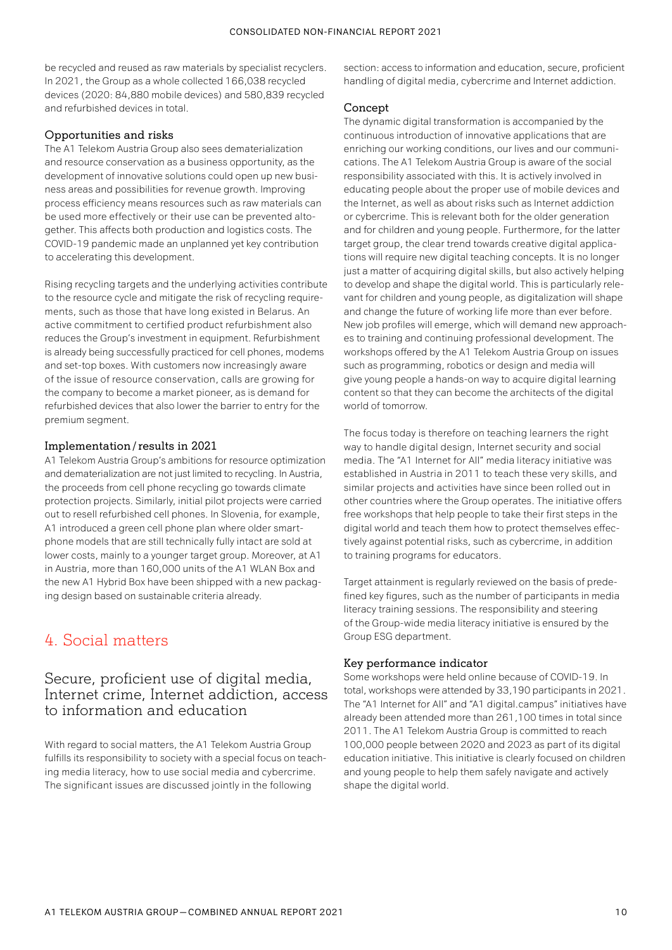be recycled and reused as raw materials by specialist recyclers. In 2021, the Group as a whole collected 166,038 recycled devices (2020: 84,880 mobile devices) and 580,839 recycled and refurbished devices in total.

## Opportunities and risks

The A1 Telekom Austria Group also sees dematerialization and resource conservation as a business opportunity, as the development of innovative solutions could open up new business areas and possibilities for revenue growth. Improving process efficiency means resources such as raw materials can be used more effectively or their use can be prevented altogether. This affects both production and logistics costs. The COVID-19 pandemic made an unplanned yet key contribution to accelerating this development.

Rising recycling targets and the underlying activities contribute to the resource cycle and mitigate the risk of recycling requirements, such as those that have long existed in Belarus. An active commitment to certified product refurbishment also reduces the Group's investment in equipment. Refurbishment is already being successfully practiced for cell phones, modems and set-top boxes. With customers now increasingly aware of the issue of resource conservation, calls are growing for the company to become a market pioneer, as is demand for refurbished devices that also lower the barrier to entry for the premium segment.

## Implementation/results in 2021

A1 Telekom Austria Group's ambitions for resource optimization and dematerialization are not just limited to recycling. In Austria, the proceeds from cell phone recycling go towards climate protection projects. Similarly, initial pilot projects were carried out to resell refurbished cell phones. In Slovenia, for example, A1 introduced a green cell phone plan where older smartphone models that are still technically fully intact are sold at lower costs, mainly to a younger target group. Moreover, at A1 in Austria, more than 160,000 units of the A1 WLAN Box and the new A1 Hybrid Box have been shipped with a new packaging design based on sustainable criteria already.

# 4. Social matters

## Secure, proficient use of digital media, Internet crime, Internet addiction, access to information and education

With regard to social matters, the A1 Telekom Austria Group fulfills its responsibility to society with a special focus on teaching media literacy, how to use social media and cybercrime. The significant issues are discussed jointly in the following

section: access to information and education, secure, proficient handling of digital media, cybercrime and Internet addiction.

## Concept

The dynamic digital transformation is accompanied by the continuous introduction of innovative applications that are enriching our working conditions, our lives and our communications. The A1 Telekom Austria Group is aware of the social responsibility associated with this. It is actively involved in educating people about the proper use of mobile devices and the Internet, as well as about risks such as Internet addiction or cybercrime. This is relevant both for the older generation and for children and young people. Furthermore, for the latter target group, the clear trend towards creative digital applications will require new digital teaching concepts. It is no longer just a matter of acquiring digital skills, but also actively helping to develop and shape the digital world. This is particularly relevant for children and young people, as digitalization will shape and change the future of working life more than ever before. New job profiles will emerge, which will demand new approaches to training and continuing professional development. The workshops offered by the A1 Telekom Austria Group on issues such as programming, robotics or design and media will give young people a hands-on way to acquire digital learning content so that they can become the architects of the digital world of tomorrow.

The focus today is therefore on teaching learners the right way to handle digital design, Internet security and social media. The "A1 Internet for All" media literacy initiative was established in Austria in 2011 to teach these very skills, and similar projects and activities have since been rolled out in other countries where the Group operates. The initiative offers free workshops that help people to take their first steps in the digital world and teach them how to protect themselves effectively against potential risks, such as cybercrime, in addition to training programs for educators.

Target attainment is regularly reviewed on the basis of predefined key figures, such as the number of participants in media literacy training sessions. The responsibility and steering of the Group-wide media literacy initiative is ensured by the Group ESG department.

## Key performance indicator

Some workshops were held online because of COVID-19. In total, workshops were attended by 33,190 participants in 2021. The "A1 Internet for All" and "A1 digital.campus" initiatives have already been attended more than 261,100 times in total since 2011. The A1 Telekom Austria Group is committed to reach 100,000 people between 2020 and 2023 as part of its digital education initiative. This initiative is clearly focused on children and young people to help them safely navigate and actively shape the digital world.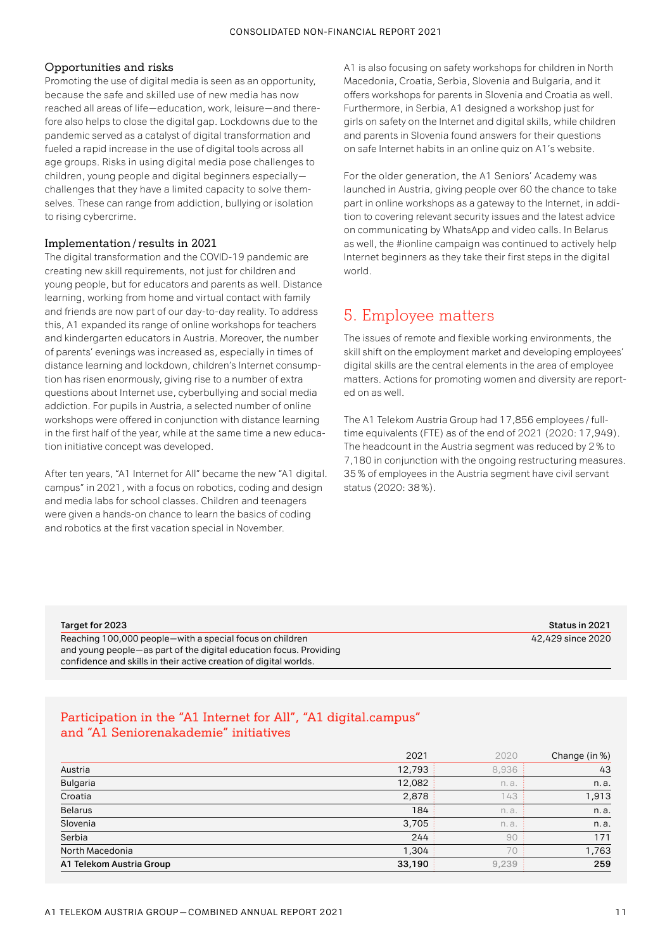## Opportunities and risks

Promoting the use of digital media is seen as an opportunity, because the safe and skilled use of new media has now reached all areas of life—education, work, leisure—and therefore also helps to close the digital gap. Lockdowns due to the pandemic served as a catalyst of digital transformation and fueled a rapid increase in the use of digital tools across all age groups. Risks in using digital media pose challenges to children, young people and digital beginners especially challenges that they have a limited capacity to solve themselves. These can range from addiction, bullying or isolation to rising cybercrime.

## Implementation/results in 2021

The digital transformation and the COVID-19 pandemic are creating new skill requirements, not just for children and young people, but for educators and parents as well. Distance learning, working from home and virtual contact with family and friends are now part of our day-to-day reality. To address this, A1 expanded its range of online workshops for teachers and kindergarten educators in Austria. Moreover, the number of parents' evenings was increased as, especially in times of distance learning and lockdown, children's Internet consumption has risen enormously, giving rise to a number of extra questions about Internet use, cyberbullying and social media addiction. For pupils in Austria, a selected number of online workshops were offered in conjunction with distance learning in the first half of the year, while at the same time a new education initiative concept was developed.

After ten years, "A1 Internet for All" became the new "A1 digital. campus" in 2021, with a focus on robotics, coding and design and media labs for school classes. Children and teenagers were given a hands-on chance to learn the basics of coding and robotics at the first vacation special in November.

A1 is also focusing on safety workshops for children in North Macedonia, Croatia, Serbia, Slovenia and Bulgaria, and it offers workshops for parents in Slovenia and Croatia as well. Furthermore, in Serbia, A1 designed a workshop just for girls on safety on the Internet and digital skills, while children and parents in Slovenia found answers for their questions on safe Internet habits in an online quiz on A1's website.

For the older generation, the A1 Seniors' Academy was launched in Austria, giving people over 60 the chance to take part in online workshops as a gateway to the Internet, in addition to covering relevant security issues and the latest advice on communicating by WhatsApp and video calls. In Belarus as well, the #ionline campaign was continued to actively help Internet beginners as they take their first steps in the digital world.

## 5. Employee matters

The issues of remote and flexible working environments, the skill shift on the employment market and developing employees' digital skills are the central elements in the area of employee matters. Actions for promoting women and diversity are reported on as well.

The A1 Telekom Austria Group had 17,856 employees / fulltime equivalents (FTE) as of the end of 2021 (2020: 17,949). The headcount in the Austria segment was reduced by 2 % to 7,180 in conjunction with the ongoing restructuring measures. 35 % of employees in the Austria segment have civil servant status (2020: 38 %).

| Target for 2023 |  |  |  |  |  |
|-----------------|--|--|--|--|--|
|-----------------|--|--|--|--|--|

Reaching 100,000 people—with a special focus on children 42,429 since 2020 42,429 since 2020 and young people—as part of the digital education focus. Providing confidence and skills in their active creation of digital worlds.

**Target for 2023 Status in 2021**

## Participation in the "A1 Internet for All", "A1 digital.campus" and "A1 Seniorenakademie" initiatives

|                          | 2021   | 2020  | Change (in %) |
|--------------------------|--------|-------|---------------|
| Austria                  | 12,793 | 8,936 | 43            |
| <b>Bulgaria</b>          | 12,082 | n.a.  | n.a.          |
| Croatia                  | 2,878  | 143   | 1,913         |
| <b>Belarus</b>           | 184    | n.a.  | n.a.          |
| Slovenia                 | 3,705  | n.a.  | n.a.          |
| Serbia                   | 244    | 90    | 171           |
| North Macedonia          | 1,304  | 70    | 1,763         |
| A1 Telekom Austria Group | 33,190 | 9,239 | 259           |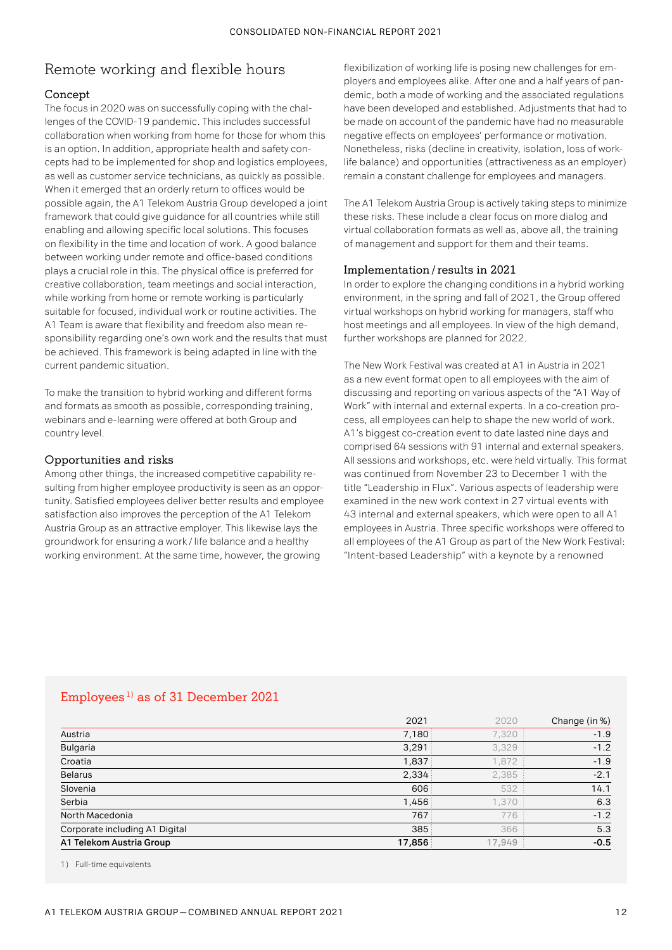# Remote working and flexible hours

## Concept

The focus in 2020 was on successfully coping with the challenges of the COVID-19 pandemic. This includes successful collaboration when working from home for those for whom this is an option. In addition, appropriate health and safety concepts had to be implemented for shop and logistics employees, as well as customer service technicians, as quickly as possible. When it emerged that an orderly return to offices would be possible again, the A1 Telekom Austria Group developed a joint framework that could give guidance for all countries while still enabling and allowing specific local solutions. This focuses on flexibility in the time and location of work. A good balance between working under remote and office-based conditions plays a crucial role in this. The physical office is preferred for creative collaboration, team meetings and social interaction, while working from home or remote working is particularly suitable for focused, individual work or routine activities. The A1 Team is aware that flexibility and freedom also mean responsibility regarding one's own work and the results that must be achieved. This framework is being adapted in line with the current pandemic situation.

To make the transition to hybrid working and different forms and formats as smooth as possible, corresponding training. webinars and e-learning were offered at both Group and country level.

## Opportunities and risks

Among other things, the increased competitive capability resulting from higher employee productivity is seen as an opportunity. Satisfied employees deliver better results and employee satisfaction also improves the perception of the A1 Telekom Austria Group as an attractive employer. This likewise lays the groundwork for ensuring a work / life balance and a healthy working environment. At the same time, however, the growing

flexibilization of working life is posing new challenges for employers and employees alike. After one and a half years of pandemic, both a mode of working and the associated regulations have been developed and established. Adjustments that had to be made on account of the pandemic have had no measurable negative effects on employees' performance or motivation. Nonetheless, risks (decline in creativity, isolation, loss of worklife balance) and opportunities (attractiveness as an employer) remain a constant challenge for employees and managers.

The A1 Telekom Austria Group is actively taking steps to minimize these risks. These include a clear focus on more dialog and virtual collaboration formats as well as, above all, the training of management and support for them and their teams.

#### Implementation/results in 2021

In order to explore the changing conditions in a hybrid working environment, in the spring and fall of 2021, the Group offered virtual workshops on hybrid working for managers, staff who host meetings and all employees. In view of the high demand, further workshops are planned for 2022.

The New Work Festival was created at A1 in Austria in 2021 as a new event format open to all employees with the aim of discussing and reporting on various aspects of the "A1 Way of Work" with internal and external experts. In a co-creation process, all employees can help to shape the new world of work. A1's biggest co-creation event to date lasted nine days and comprised 64 sessions with 91 internal and external speakers. All sessions and workshops, etc. were held virtually. This format was continued from November 23 to December 1 with the title "Leadership in Flux". Various aspects of leadership were examined in the new work context in 27 virtual events with 43 internal and external speakers, which were open to all A1 employees in Austria. Three specific workshops were offered to all employees of the A1 Group as part of the New Work Festival: "Intent-based Leadership" with a keynote by a renowned

## Employees 1) as of 31 December 2021

|                                | 2021   | 2020    | Change (in %) |
|--------------------------------|--------|---------|---------------|
| Austria                        | 7,180  | 7,320   | $-1.9$        |
| <b>Bulgaria</b>                | 3,291  | 3,329   | $-1.2$        |
| Croatia                        | 1,837  | 1,872   | $-1.9$        |
| <b>Belarus</b>                 | 2,334  | 2,385   | $-2.1$        |
| Slovenia                       | 606    | 532     | 14.1          |
| Serbia                         | 1,456  | 1.370   | 6.3           |
| North Macedonia                | 767    | 776     | $-1.2$        |
| Corporate including A1 Digital | 385    | 366     | 5.3           |
| A1 Telekom Austria Group       | 17,856 | 17,949: | $-0.5$        |

1) Full-time equivalents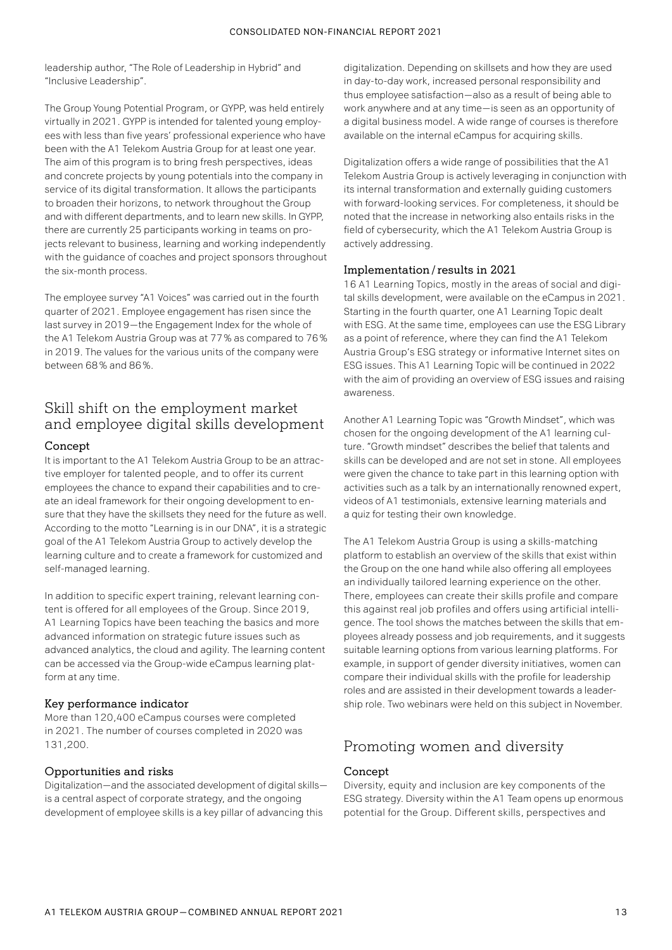leadership author, "The Role of Leadership in Hybrid" and "Inclusive Leadership".

The Group Young Potential Program, or GYPP, was held entirely virtually in 2021. GYPP is intended for talented young employees with less than five years' professional experience who have been with the A1 Telekom Austria Group for at least one year. The aim of this program is to bring fresh perspectives, ideas and concrete projects by young potentials into the company in service of its digital transformation. It allows the participants to broaden their horizons, to network throughout the Group and with different departments, and to learn new skills. In GYPP, there are currently 25 participants working in teams on projects relevant to business, learning and working independently with the guidance of coaches and project sponsors throughout the six-month process.

The employee survey "A1 Voices" was carried out in the fourth quarter of 2021. Employee engagement has risen since the last survey in 2019—the Engagement Index for the whole of the A1 Telekom Austria Group was at 77 % as compared to 76 % in 2019. The values for the various units of the company were between 68 % and 86 %.

## Skill shift on the employment market and employee digital skills development

## Concept

It is important to the A1 Telekom Austria Group to be an attractive employer for talented people, and to offer its current employees the chance to expand their capabilities and to create an ideal framework for their ongoing development to ensure that they have the skillsets they need for the future as well. According to the motto "Learning is in our DNA", it is a strategic goal of the A1 Telekom Austria Group to actively develop the learning culture and to create a framework for customized and self-managed learning.

In addition to specific expert training, relevant learning content is offered for all employees of the Group. Since 2019, A1 Learning Topics have been teaching the basics and more advanced information on strategic future issues such as advanced analytics, the cloud and agility. The learning content can be accessed via the Group-wide eCampus learning platform at any time.

## Key performance indicator

More than 120,400 eCampus courses were completed in 2021. The number of courses completed in 2020 was 131,200.

## Opportunities and risks

Digitalization—and the associated development of digital skills is a central aspect of corporate strategy, and the ongoing development of employee skills is a key pillar of advancing this

digitalization. Depending on skillsets and how they are used in day-to-day work, increased personal responsibility and thus employee satisfaction—also as a result of being able to work anywhere and at any time—is seen as an opportunity of a digital business model. A wide range of courses is therefore available on the internal eCampus for acquiring skills.

Digitalization offers a wide range of possibilities that the A1 Telekom Austria Group is actively leveraging in conjunction with its internal transformation and externally guiding customers with forward-looking services. For completeness, it should be noted that the increase in networking also entails risks in the field of cybersecurity, which the A1 Telekom Austria Group is actively addressing.

## Implementation/results in 2021

16 A1 Learning Topics, mostly in the areas of social and digital skills development, were available on the eCampus in 2021. Starting in the fourth quarter, one A1 Learning Topic dealt with ESG. At the same time, employees can use the ESG Library as a point of reference, where they can find the A1 Telekom Austria Group's ESG strategy or informative Internet sites on ESG issues. This A1 Learning Topic will be continued in 2022 with the aim of providing an overview of ESG issues and raising awareness.

Another A1 Learning Topic was "Growth Mindset", which was chosen for the ongoing development of the A1 learning culture. "Growth mindset" describes the belief that talents and skills can be developed and are not set in stone. All employees were given the chance to take part in this learning option with activities such as a talk by an internationally renowned expert, videos of A1 testimonials, extensive learning materials and a quiz for testing their own knowledge.

The A1 Telekom Austria Group is using a skills-matching platform to establish an overview of the skills that exist within the Group on the one hand while also offering all employees an individually tailored learning experience on the other. There, employees can create their skills profile and compare this against real job profiles and offers using artificial intelligence. The tool shows the matches between the skills that employees already possess and job requirements, and it suggests suitable learning options from various learning platforms. For example, in support of gender diversity initiatives, women can compare their individual skills with the profile for leadership roles and are assisted in their development towards a leadership role. Two webinars were held on this subject in November.

# Promoting women and diversity

## Concept

Diversity, equity and inclusion are key components of the ESG strategy. Diversity within the A1 Team opens up enormous potential for the Group. Different skills, perspectives and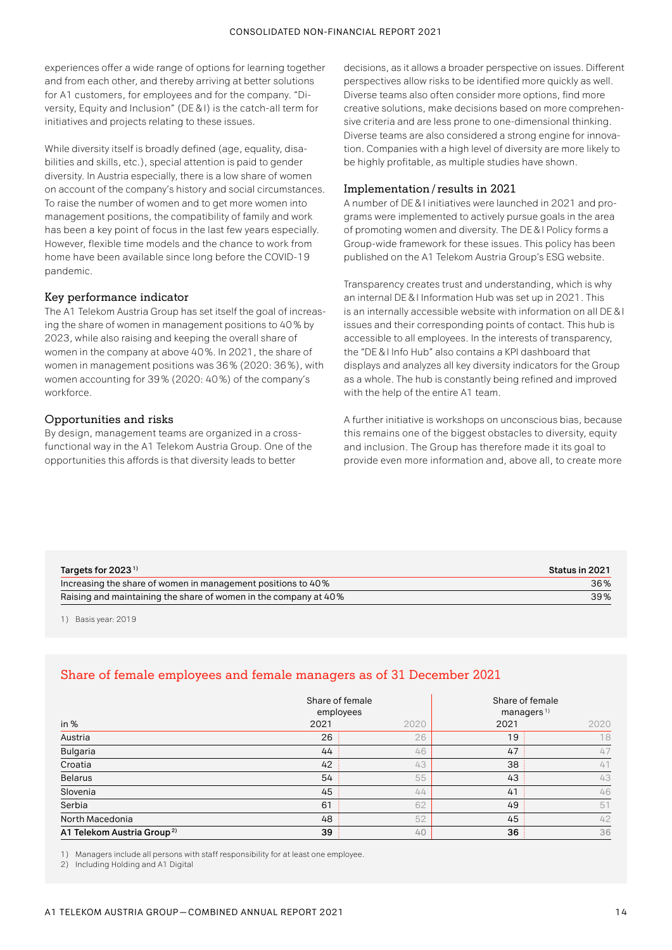experiences offer a wide range of options for learning together and from each other, and thereby arriving at better solutions for A1 customers, for employees and for the company. "Diversity, Equity and Inclusion" (DE & I) is the catch-all term for initiatives and projects relating to these issues.

While diversity itself is broadly defined (age, equality, disabilities and skills, etc.), special attention is paid to gender diversity. In Austria especially, there is a low share of women on account of the company's history and social circumstances. To raise the number of women and to get more women into management positions, the compatibility of family and work has been a key point of focus in the last few years especially. However, flexible time models and the chance to work from home have been available since long before the COVID-19 pandemic.

## Key performance indicator

The A1 Telekom Austria Group has set itself the goal of increasing the share of women in management positions to 40 % by 2023, while also raising and keeping the overall share of women in the company at above 40 %. In 2021, the share of women in management positions was 36 % (2020: 36 %), with women accounting for 39 % (2020: 40 %) of the company's workforce.

## Opportunities and risks

By design, management teams are organized in a crossfunctional way in the A1 Telekom Austria Group. One of the opportunities this affords is that diversity leads to better

decisions, as it allows a broader perspective on issues. Different perspectives allow risks to be identified more quickly as well. Diverse teams also often consider more options, find more creative solutions, make decisions based on more comprehensive criteria and are less prone to one-dimensional thinking. Diverse teams are also considered a strong engine for innovation. Companies with a high level of diversity are more likely to be highly profitable, as multiple studies have shown.

## Implementation/results in 2021

A number of DE & I initiatives were launched in 2021 and programs were implemented to actively pursue goals in the area of promoting women and diversity. The DE& I Policy forms a Group-wide framework for these issues. This policy has been published on the A1 Telekom Austria Group's ESG website.

Transparency creates trust and understanding, which is why an internal DE & I Information Hub was set up in 2021. This is an internally accessible website with information on all DE & I issues and their corresponding points of contact. This hub is accessible to all employees. In the interests of transparency, the "DE & I Info Hub" also contains a KPI dashboard that displays and analyzes all key diversity indicators for the Group as a whole. The hub is constantly being refined and improved with the help of the entire A1 team.

A further initiative is workshops on unconscious bias, because this remains one of the biggest obstacles to diversity, equity and inclusion. The Group has therefore made it its goal to provide even more information and, above all, to create more

| Targets for 2023 $1$                                             | Status in 2021 |
|------------------------------------------------------------------|----------------|
| Increasing the share of women in management positions to 40%     | 36%            |
| Raising and maintaining the share of women in the company at 40% | 39%            |

1) Basis year: 2019

## Share of female employees and female managers as of 31 December 2021

|                                        | Share of female<br>employees |      | Share of female<br>managers $1$ ) |      |  |
|----------------------------------------|------------------------------|------|-----------------------------------|------|--|
| in $%$                                 | 2021                         | 2020 | 2021                              | 2020 |  |
| Austria                                | 26                           | 26   | 19                                | 18   |  |
| <b>Bulgaria</b>                        | 44                           | 46   | 47                                | 47   |  |
| Croatia                                | 42                           | 43   | 38                                | 41   |  |
| <b>Belarus</b>                         | 54                           | 55   | 43                                | 43   |  |
| Slovenia                               | 45                           | 44   | 41                                | 46   |  |
| Serbia                                 | 61                           | 62   | 49                                | 51   |  |
| North Macedonia                        | 48                           | 52   | 45                                | 42   |  |
| A1 Telekom Austria Group <sup>2)</sup> | 39                           | 40   | 36                                | 36   |  |

1) Managers include all persons with staff responsibility for at least one employee.

2) Including Holding and A1 Digital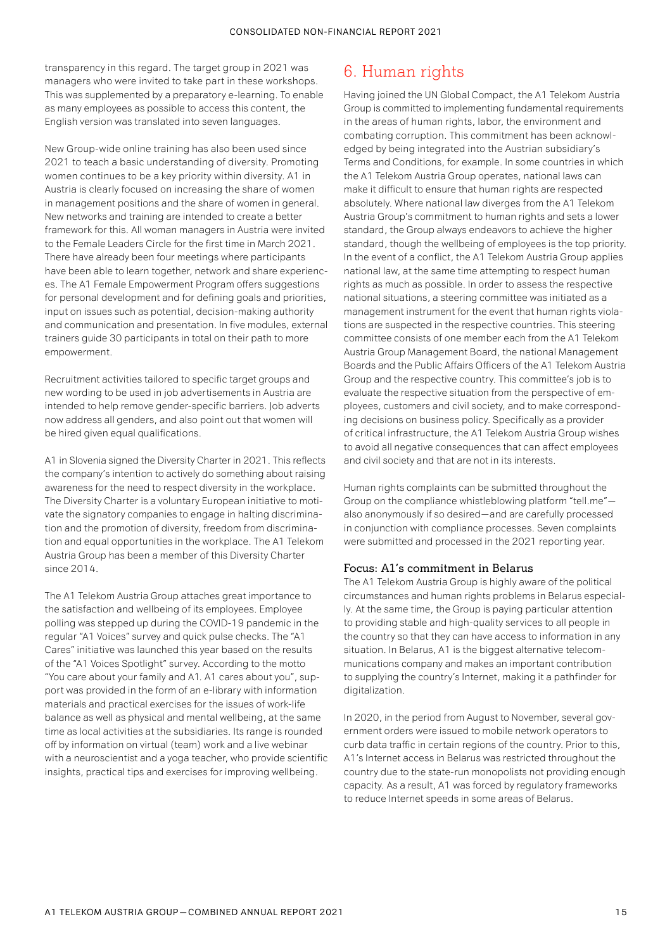transparency in this regard. The target group in 2021 was managers who were invited to take part in these workshops. This was supplemented by a preparatory e-learning. To enable as many employees as possible to access this content, the English version was translated into seven languages.

New Group-wide online training has also been used since 2021 to teach a basic understanding of diversity. Promoting women continues to be a key priority within diversity. A1 in Austria is clearly focused on increasing the share of women in management positions and the share of women in general. New networks and training are intended to create a better framework for this. All woman managers in Austria were invited to the Female Leaders Circle for the first time in March 2021. There have already been four meetings where participants have been able to learn together, network and share experiences. The A1 Female Empowerment Program offers suggestions for personal development and for defining goals and priorities, input on issues such as potential, decision-making authority and communication and presentation. In five modules, external trainers guide 30 participants in total on their path to more empowerment.

Recruitment activities tailored to specific target groups and new wording to be used in job advertisements in Austria are intended to help remove gender-specific barriers. Job adverts now address all genders, and also point out that women will be hired given equal qualifications.

A1 in Slovenia signed the Diversity Charter in 2021. This reflects the company's intention to actively do something about raising awareness for the need to respect diversity in the workplace. The Diversity Charter is a voluntary European initiative to motivate the signatory companies to engage in halting discrimination and the promotion of diversity, freedom from discrimination and equal opportunities in the workplace. The A1 Telekom Austria Group has been a member of this Diversity Charter since 2014.

The A1 Telekom Austria Group attaches great importance to the satisfaction and wellbeing of its employees. Employee polling was stepped up during the COVID-19 pandemic in the regular "A1 Voices" survey and quick pulse checks. The "A1 Cares" initiative was launched this year based on the results of the "A1 Voices Spotlight" survey. According to the motto "You care about your family and A1. A1 cares about you", support was provided in the form of an e-library with information materials and practical exercises for the issues of work-life balance as well as physical and mental wellbeing, at the same time as local activities at the subsidiaries. Its range is rounded off by information on virtual (team) work and a live webinar with a neuroscientist and a yoga teacher, who provide scientific insights, practical tips and exercises for improving wellbeing.

# 6. Human rights

Having joined the UN Global Compact, the A1 Telekom Austria Group is committed to implementing fundamental requirements in the areas of human rights, labor, the environment and combating corruption. This commitment has been acknowledged by being integrated into the Austrian subsidiary's Terms and Conditions, for example. In some countries in which the A1 Telekom Austria Group operates, national laws can make it difficult to ensure that human rights are respected absolutely. Where national law diverges from the A1 Telekom Austria Group's commitment to human rights and sets a lower standard, the Group always endeavors to achieve the higher standard, though the wellbeing of employees is the top priority. In the event of a conflict, the A1 Telekom Austria Group applies national law, at the same time attempting to respect human rights as much as possible. In order to assess the respective national situations, a steering committee was initiated as a management instrument for the event that human rights violations are suspected in the respective countries. This steering committee consists of one member each from the A1 Telekom Austria Group Management Board, the national Management Boards and the Public Affairs Officers of the A1 Telekom Austria Group and the respective country. This committee's job is to evaluate the respective situation from the perspective of employees, customers and civil society, and to make corresponding decisions on business policy. Specifically as a provider of critical infrastructure, the A1 Telekom Austria Group wishes to avoid all negative consequences that can affect employees and civil society and that are not in its interests.

Human rights complaints can be submitted throughout the Group on the compliance whistleblowing platform "tell.me" also anonymously if so desired—and are carefully processed in conjunction with compliance processes. Seven complaints were submitted and processed in the 2021 reporting year.

## Focus: A1's commitment in Belarus

The A1 Telekom Austria Group is highly aware of the political circumstances and human rights problems in Belarus especially. At the same time, the Group is paying particular attention to providing stable and high-quality services to all people in the country so that they can have access to information in any situation. In Belarus, A1 is the biggest alternative telecommunications company and makes an important contribution to supplying the country's Internet, making it a pathfinder for digitalization.

In 2020, in the period from August to November, several government orders were issued to mobile network operators to curb data traffic in certain regions of the country. Prior to this, A1's Internet access in Belarus was restricted throughout the country due to the state-run monopolists not providing enough capacity. As a result, A1 was forced by regulatory frameworks to reduce Internet speeds in some areas of Belarus.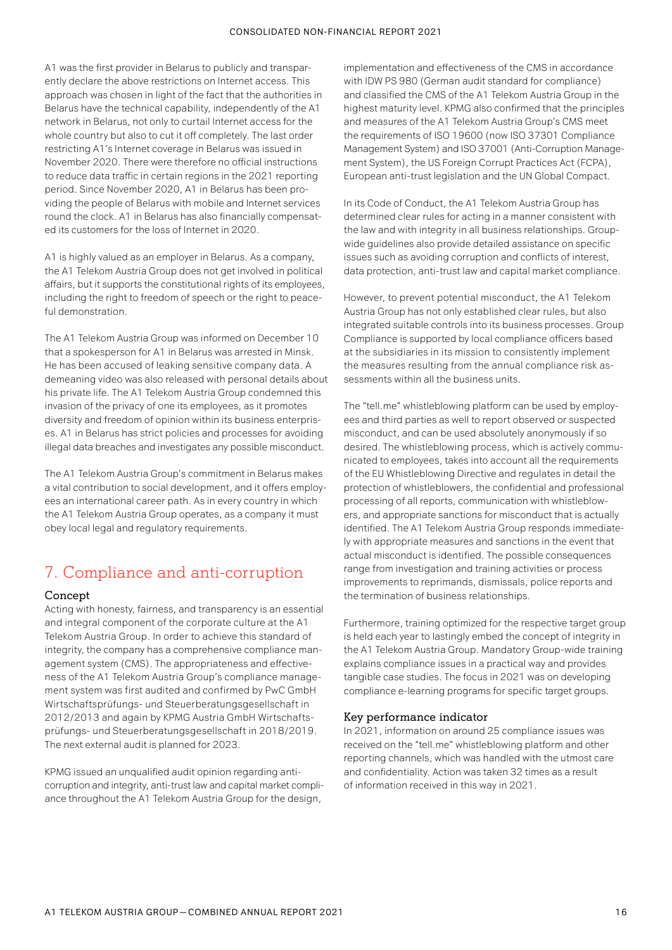A1 was the first provider in Belarus to publicly and transparently declare the above restrictions on Internet access. This approach was chosen in light of the fact that the authorities in Belarus have the technical capability, independently of the A1 network in Belarus, not only to curtail Internet access for the whole country but also to cut it off completely. The last order restricting A1's Internet coverage in Belarus was issued in November 2020. There were therefore no official instructions to reduce data traffic in certain regions in the 2021 reporting period. Since November 2020, A1 in Belarus has been providing the people of Belarus with mobile and Internet services round the clock. A1 in Belarus has also financially compensated its customers for the loss of Internet in 2020.

A1 is highly valued as an employer in Belarus. As a company, the A1 Telekom Austria Group does not get involved in political affairs, but it supports the constitutional rights of its employees, including the right to freedom of speech or the right to peaceful demonstration.

The A1 Telekom Austria Group was informed on December 10 that a spokesperson for A1 in Belarus was arrested in Minsk. He has been accused of leaking sensitive company data. A demeaning video was also released with personal details about his private life. The A1 Telekom Austria Group condemned this invasion of the privacy of one its employees, as it promotes diversity and freedom of opinion within its business enterprises. A1 in Belarus has strict policies and processes for avoiding illegal data breaches and investigates any possible misconduct.

The A1 Telekom Austria Group's commitment in Belarus makes a vital contribution to social development, and it offers employees an international career path. As in every country in which the A1 Telekom Austria Group operates, as a company it must obey local legal and regulatory requirements.

# 7. Compliance and anti-corruption

#### Concept

Acting with honesty, fairness, and transparency is an essential and integral component of the corporate culture at the A1 Telekom Austria Group. In order to achieve this standard of integrity, the company has a comprehensive compliance management system (CMS). The appropriateness and effectiveness of the A1 Telekom Austria Group's compliance management system was first audited and confirmed by PwC GmbH Wirtschaftsprüfungs- und Steuerberatungsgesellschaft in 2012/2013 and again by KPMG Austria GmbH Wirtschaftsprüfungs- und Steuerberatungsgesellschaft in 2018/2019. The next external audit is planned for 2023.

KPMG issued an unqualified audit opinion regarding anticorruption and integrity, anti-trust law and capital market compliance throughout the A1 Telekom Austria Group for the design,

implementation and effectiveness of the CMS in accordance with IDW PS 980 (German audit standard for compliance) and classified the CMS of the A1 Telekom Austria Group in the highest maturity level. KPMG also confirmed that the principles and measures of the A1 Telekom Austria Group's CMS meet the requirements of ISO 19600 (now ISO 37301 Compliance Management System) and ISO 37001 (Anti-Corruption Management System), the US Foreign Corrupt Practices Act (FCPA), European anti-trust legislation and the UN Global Compact.

In its Code of Conduct, the A1 Telekom Austria Group has determined clear rules for acting in a manner consistent with the law and with integrity in all business relationships. Groupwide guidelines also provide detailed assistance on specific issues such as avoiding corruption and conflicts of interest, data protection, anti-trust law and capital market compliance.

However, to prevent potential misconduct, the A1 Telekom Austria Group has not only established clear rules, but also integrated suitable controls into its business processes. Group Compliance is supported by local compliance officers based at the subsidiaries in its mission to consistently implement the measures resulting from the annual compliance risk assessments within all the business units.

The "tell.me" whistleblowing platform can be used by employees and third parties as well to report observed or suspected misconduct, and can be used absolutely anonymously if so desired. The whistleblowing process, which is actively communicated to employees, takes into account all the requirements of the EU Whistleblowing Directive and regulates in detail the protection of whistleblowers, the confidential and professional processing of all reports, communication with whistleblowers, and appropriate sanctions for misconduct that is actually identified. The A1 Telekom Austria Group responds immediately with appropriate measures and sanctions in the event that actual misconduct is identified. The possible consequences range from investigation and training activities or process improvements to reprimands, dismissals, police reports and the termination of business relationships.

Furthermore, training optimized for the respective target group is held each year to lastingly embed the concept of integrity in the A1 Telekom Austria Group. Mandatory Group-wide training explains compliance issues in a practical way and provides tangible case studies. The focus in 2021 was on developing compliance e-learning programs for specific target groups.

#### Key performance indicator

In 2021, information on around 25 compliance issues was received on the "tell.me" whistleblowing platform and other reporting channels, which was handled with the utmost care and confidentiality. Action was taken 32 times as a result of information received in this way in 2021.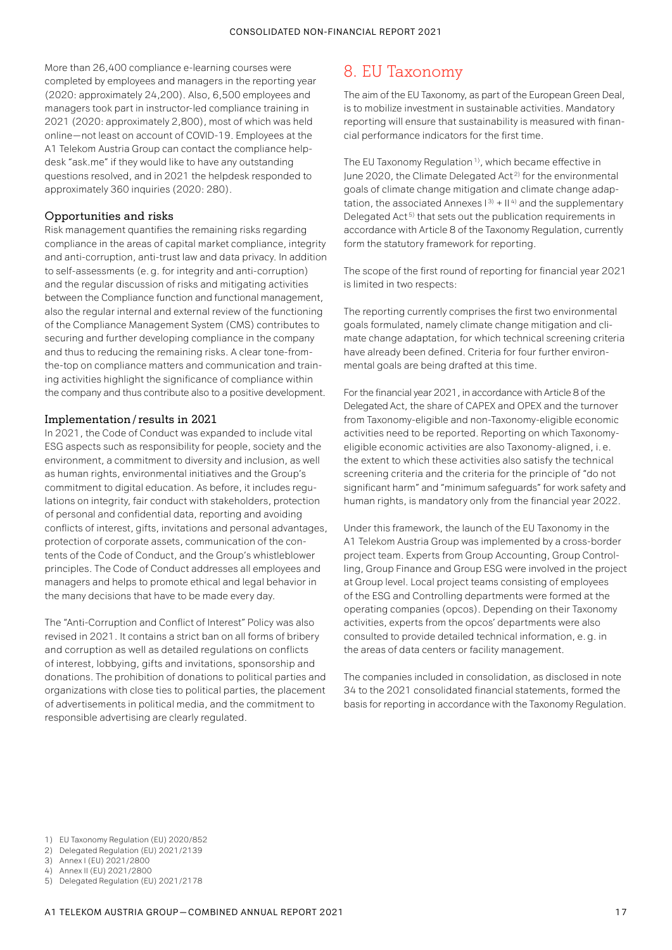More than 26,400 compliance e-learning courses were completed by employees and managers in the reporting year (2020: approximately 24,200). Also, 6,500 employees and managers took part in instructor-led compliance training in 2021 (2020: approximately 2,800), most of which was held online—not least on account of COVID-19. Employees at the A1 Telekom Austria Group can contact the compliance helpdesk "ask.me" if they would like to have any outstanding questions resolved, and in 2021 the helpdesk responded to approximately 360 inquiries (2020: 280).

## Opportunities and risks

Risk management quantifies the remaining risks regarding compliance in the areas of capital market compliance, integrity and anti-corruption, anti-trust law and data privacy. In addition to self-assessments (e.g. for integrity and anti-corruption) and the regular discussion of risks and mitigating activities between the Compliance function and functional management, also the regular internal and external review of the functioning of the Compliance Management System (CMS) contributes to securing and further developing compliance in the company and thus to reducing the remaining risks. A clear tone-fromthe-top on compliance matters and communication and training activities highlight the significance of compliance within the company and thus contribute also to a positive development.

## Implementation/results in 2021

In 2021, the Code of Conduct was expanded to include vital ESG aspects such as responsibility for people, society and the environment, a commitment to diversity and inclusion, as well as human rights, environmental initiatives and the Group's commitment to digital education. As before, it includes regulations on integrity, fair conduct with stakeholders, protection of personal and confidential data, reporting and avoiding conflicts of interest, gifts, invitations and personal advantages, protection of corporate assets, communication of the contents of the Code of Conduct, and the Group's whistleblower principles. The Code of Conduct addresses all employees and managers and helps to promote ethical and legal behavior in the many decisions that have to be made every day.

The "Anti-Corruption and Conflict of Interest" Policy was also revised in 2021. It contains a strict ban on all forms of bribery and corruption as well as detailed regulations on conflicts of interest, lobbying, gifts and invitations, sponsorship and donations. The prohibition of donations to political parties and organizations with close ties to political parties, the placement of advertisements in political media, and the commitment to responsible advertising are clearly regulated.

## 8. EU Taxonomy

The aim of the EU Taxonomy, as part of the European Green Deal, is to mobilize investment in sustainable activities. Mandatory reporting will ensure that sustainability is measured with financial performance indicators for the first time.

The EU Taxonomy Regulation<sup>1)</sup>, which became effective in June 2020, the Climate Delegated Act<sup>2)</sup> for the environmental goals of climate change mitigation and climate change adaptation, the associated Annexes  $1^{3}$  +  $11^{4}$  and the supplementary Delegated Act<sup>5)</sup> that sets out the publication requirements in accordance with Article 8 of the Taxonomy Regulation, currently form the statutory framework for reporting.

The scope of the first round of reporting for financial year 2021 is limited in two respects:

The reporting currently comprises the first two environmental goals formulated, namely climate change mitigation and climate change adaptation, for which technical screening criteria have already been defined. Criteria for four further environmental goals are being drafted at this time.

For the financial year 2021, in accordance with Article 8 of the Delegated Act, the share of CAPEX and OPEX and the turnover from Taxonomy-eligible and non-Taxonomy-eligible economic activities need to be reported. Reporting on which Taxonomyeligible economic activities are also Taxonomy-aligned, i. e. the extent to which these activities also satisfy the technical screening criteria and the criteria for the principle of "do not significant harm" and "minimum safeguards" for work safety and human rights, is mandatory only from the financial year 2022.

Under this framework, the launch of the EU Taxonomy in the A1 Telekom Austria Group was implemented by a cross-border project team. Experts from Group Accounting, Group Controlling, Group Finance and Group ESG were involved in the project at Group level. Local project teams consisting of employees of the ESG and Controlling departments were formed at the operating companies (opcos). Depending on their Taxonomy activities, experts from the opcos' departments were also consulted to provide detailed technical information, e.g. in the areas of data centers or facility management.

The companies included in consolidation, as disclosed in note 34 to the 2021 consolidated financial statements, formed the basis for reporting in accordance with the Taxonomy Regulation.

- 1) EU Taxonomy Regulation (EU) 2020/852
- 2) Delegated Regulation (EU) 2021/2139
- 3) Annex I (EU) 2021/2800
- 4) Annex II (EU) 2021/2800
- 5) Delegated Regulation (EU) 2021/2178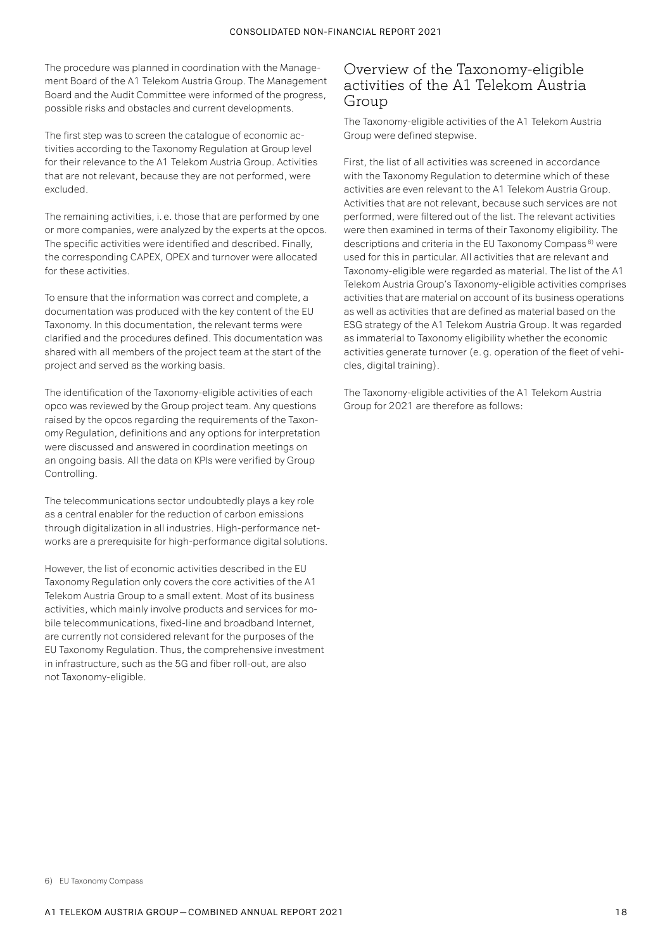The procedure was planned in coordination with the Management Board of the A1 Telekom Austria Group. The Management Board and the Audit Committee were informed of the progress, possible risks and obstacles and current developments.

The first step was to screen the catalogue of economic activities according to the Taxonomy Regulation at Group level for their relevance to the A1 Telekom Austria Group. Activities that are not relevant, because they are not performed, were excluded.

The remaining activities, i. e. those that are performed by one or more companies, were analyzed by the experts at the opcos. The specific activities were identified and described. Finally, the corresponding CAPEX, OPEX and turnover were allocated for these activities.

To ensure that the information was correct and complete, a documentation was produced with the key content of the EU Taxonomy. In this documentation, the relevant terms were clarified and the procedures defined. This documentation was shared with all members of the project team at the start of the project and served as the working basis.

The identification of the Taxonomy-eligible activities of each opco was reviewed by the Group project team. Any questions raised by the opcos regarding the requirements of the Taxonomy Regulation, definitions and any options for interpretation were discussed and answered in coordination meetings on an ongoing basis. All the data on KPIs were verified by Group Controlling.

The telecommunications sector undoubtedly plays a key role as a central enabler for the reduction of carbon emissions through digitalization in all industries. High-performance networks are a prerequisite for high-performance digital solutions.

However, the list of economic activities described in the EU Taxonomy Regulation only covers the core activities of the A1 Telekom Austria Group to a small extent. Most of its business activities, which mainly involve products and services for mobile telecommunications, fixed-line and broadband Internet, are currently not considered relevant for the purposes of the EU Taxonomy Regulation. Thus, the comprehensive investment in infrastructure, such as the 5G and fiber roll-out, are also not Taxonomy-eligible.

## Overview of the Taxonomy-eligible activities of the A1 Telekom Austria Group

The Taxonomy-eligible activities of the A1 Telekom Austria Group were defined stepwise.

First, the list of all activities was screened in accordance with the Taxonomy Regulation to determine which of these activities are even relevant to the A1 Telekom Austria Group. Activities that are not relevant, because such services are not performed, were filtered out of the list. The relevant activities were then examined in terms of their Taxonomy eligibility. The descriptions and criteria in the EU Taxonomy Compass 6) were used for this in particular. All activities that are relevant and Taxonomy-eligible were regarded as material. The list of the A1 Telekom Austria Group's Taxonomy-eligible activities comprises activities that are material on account of its business operations as well as activities that are defined as material based on the ESG strategy of the A1 Telekom Austria Group. It was regarded as immaterial to Taxonomy eligibility whether the economic activities generate turnover (e.g. operation of the fleet of vehicles, digital training).

The Taxonomy-eligible activities of the A1 Telekom Austria Group for 2021 are therefore as follows: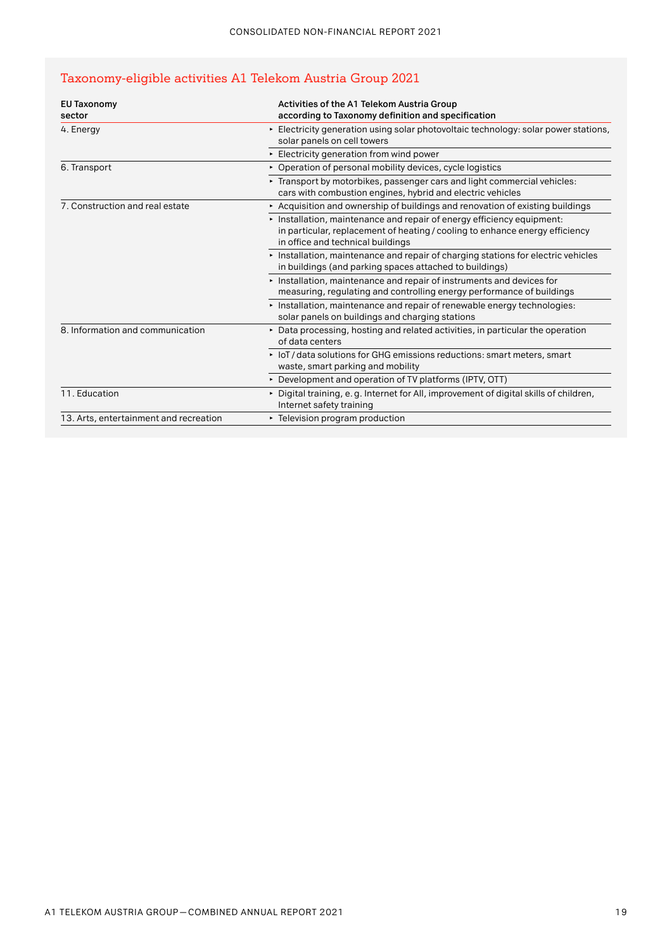## Taxonomy-eligible activities A1 Telekom Austria Group 2021

| <b>EU Taxonomy</b><br>sector           | Activities of the A1 Telekom Austria Group<br>according to Taxonomy definition and specification                                                                                          |
|----------------------------------------|-------------------------------------------------------------------------------------------------------------------------------------------------------------------------------------------|
| 4. Energy                              | Electricity generation using solar photovoltaic technology: solar power stations,<br>solar panels on cell towers                                                                          |
|                                        | Electricity generation from wind power                                                                                                                                                    |
| 6. Transport                           | • Operation of personal mobility devices, cycle logistics                                                                                                                                 |
|                                        | ► Transport by motorbikes, passenger cars and light commercial vehicles:<br>cars with combustion engines, hybrid and electric vehicles                                                    |
| 7. Construction and real estate        | Acquisition and ownership of buildings and renovation of existing buildings                                                                                                               |
|                                        | Installation, maintenance and repair of energy efficiency equipment:<br>in particular, replacement of heating / cooling to enhance energy efficiency<br>in office and technical buildings |
|                                        | Installation, maintenance and repair of charging stations for electric vehicles<br>in buildings (and parking spaces attached to buildings)                                                |
|                                        | Installation, maintenance and repair of instruments and devices for<br>measuring, regulating and controlling energy performance of buildings                                              |
|                                        | Installation, maintenance and repair of renewable energy technologies:<br>solar panels on buildings and charging stations                                                                 |
| 8. Information and communication       | ► Data processing, hosting and related activities, in particular the operation<br>of data centers                                                                                         |
|                                        | ► IoT/data solutions for GHG emissions reductions: smart meters, smart<br>waste, smart parking and mobility                                                                               |
|                                        | ► Development and operation of TV platforms (IPTV, OTT)                                                                                                                                   |
| 11. Education                          | > Digital training, e.g. Internet for All, improvement of digital skills of children,<br>Internet safety training                                                                         |
| 13. Arts, entertainment and recreation | ► Television program production                                                                                                                                                           |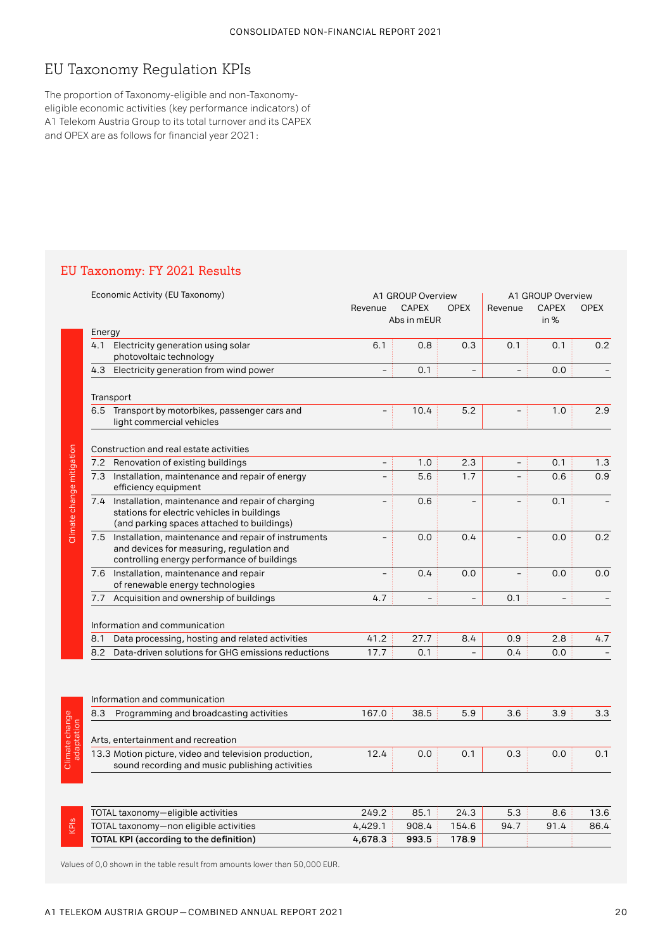# EU Taxonomy Regulation KPIs

The proportion of Taxonomy-eligible and non-Taxonomyeligible economic activities (key performance indicators) of A1 Telekom Austria Group to its total turnover and its CAPEX and OPEX are as follows for financial year 2021:

## EU Taxonomy: FY 2021 Results

|                              | Economic Activity (EU Taxonomy)                                                                                                                        | Revenue           | A1 GROUP Overview<br><b>OPEX</b><br><b>CAPEX</b><br>Abs in mEUR |          |                          | A1 GROUP Overview<br><b>CAPEX</b><br>Revenue<br>in % |     |
|------------------------------|--------------------------------------------------------------------------------------------------------------------------------------------------------|-------------------|-----------------------------------------------------------------|----------|--------------------------|------------------------------------------------------|-----|
|                              | Energy                                                                                                                                                 |                   |                                                                 |          |                          |                                                      |     |
|                              | Electricity generation using solar<br>4.1<br>photovoltaic technology                                                                                   | 6.1               | 0.8                                                             | 0.3      | 0.1                      | 0.1                                                  | 0.2 |
|                              | 4.3<br>Electricity generation from wind power                                                                                                          |                   | 0.1                                                             |          |                          | 0.0                                                  |     |
|                              | Transport                                                                                                                                              |                   |                                                                 |          |                          |                                                      |     |
|                              | 6.5 Transport by motorbikes, passenger cars and<br>light commercial vehicles                                                                           |                   | 10.4                                                            | 5.2      |                          | 1.0                                                  | 2.9 |
|                              | Construction and real estate activities                                                                                                                |                   |                                                                 |          |                          |                                                      |     |
|                              | Renovation of existing buildings<br>7.2                                                                                                                | $\qquad \qquad -$ | 1.0                                                             | 2.3      | $\overline{\phantom{0}}$ | 0.1                                                  | 1.3 |
|                              | 7.3 Installation, maintenance and repair of energy<br>efficiency equipment                                                                             |                   | 5.6                                                             | 1.7      |                          | 0.6                                                  | 0.9 |
| Climate change mitigation    | Installation, maintenance and repair of charging<br>7.4<br>stations for electric vehicles in buildings<br>(and parking spaces attached to buildings)   |                   | 0.6                                                             | $\equiv$ |                          | 0.1                                                  |     |
|                              | Installation, maintenance and repair of instruments<br>7.5<br>and devices for measuring, regulation and<br>controlling energy performance of buildings | $\equiv$          | 0.0                                                             | 0.4      |                          | 0.0                                                  | 0.2 |
|                              | 7.6 Installation, maintenance and repair<br>of renewable energy technologies                                                                           |                   | 0.4                                                             | 0.0      |                          | 0.0                                                  | 0.0 |
|                              | Acquisition and ownership of buildings<br>7.7                                                                                                          | 4.7               | $\overline{\phantom{a}}$                                        | $\equiv$ | 0.1                      | $\overline{\phantom{0}}$                             |     |
|                              | Information and communication                                                                                                                          |                   |                                                                 |          |                          |                                                      |     |
|                              | Data processing, hosting and related activities<br>8.1                                                                                                 | 41.2              | 27.7                                                            | 8.4      | 0.9                      | 2.8                                                  | 4.7 |
|                              | Data-driven solutions for GHG emissions reductions<br>8.2                                                                                              | 17.7              | 0.1                                                             |          | 0.4                      | 0.0                                                  |     |
|                              | Information and communication                                                                                                                          |                   |                                                                 |          |                          |                                                      |     |
|                              | 8.3<br>Programming and broadcasting activities                                                                                                         | 167.0             | 38.5                                                            | 5.9      | 3.6                      | 3.9                                                  | 3.3 |
| Climate change<br>adaptation | Arts, entertainment and recreation                                                                                                                     |                   |                                                                 |          |                          |                                                      |     |
|                              | 13.3 Motion picture, video and television production,<br>sound recording and music publishing activities                                               | 12.4              | 0.0                                                             | 0.1      | 0.3                      | 0.0                                                  | 0.1 |
|                              |                                                                                                                                                        |                   |                                                                 |          |                          |                                                      |     |
|                              |                                                                                                                                                        |                   |                                                                 |          |                          |                                                      |     |

| တ<br>$\equiv$<br>ட<br>⊻ | TOTAL taxonomy-eligible activities      | 249.2   | 85.1  | 24.3  |      |       |      |
|-------------------------|-----------------------------------------|---------|-------|-------|------|-------|------|
|                         | TOTAL taxonomy-non eligible activities  | 4.429.1 | 908.4 | 154.6 | 94.7 | 91.4: | 86.4 |
|                         | TOTAL KPI (according to the definition) | 4,678.3 | 993.5 | 178.9 |      |       |      |

Values of 0,0 shown in the table result from amounts lower than 50,000 EUR.